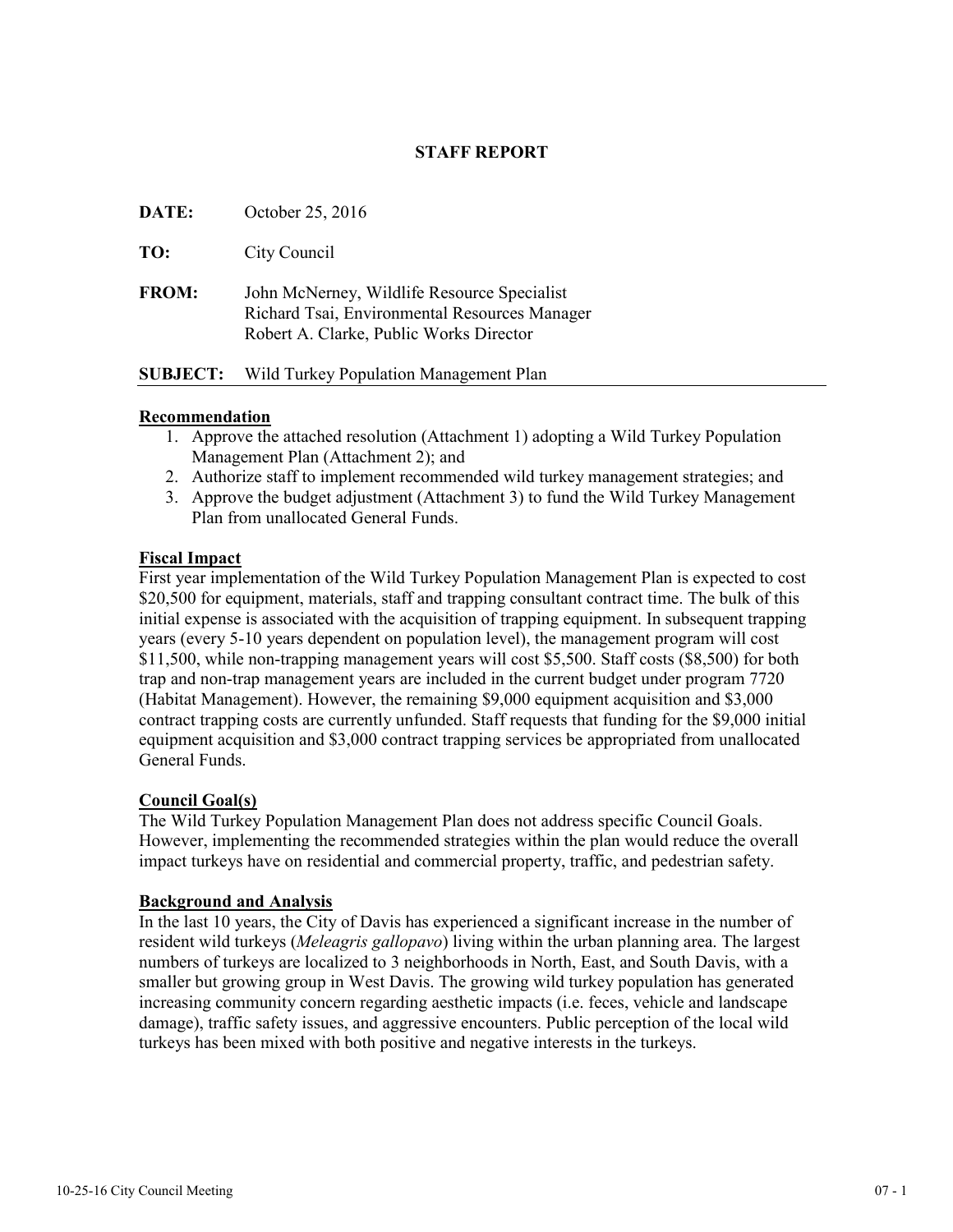# **STAFF REPORT**

| DATE:        | October 25, 2016                                                                                                                        |
|--------------|-----------------------------------------------------------------------------------------------------------------------------------------|
| TO:          | City Council                                                                                                                            |
| <b>FROM:</b> | John McNerney, Wildlife Resource Specialist<br>Richard Tsai, Environmental Resources Manager<br>Robert A. Clarke, Public Works Director |

#### **SUBJECT:** Wild Turkey Population Management Plan

# **Recommendation**

- 1. Approve the attached resolution (Attachment 1) adopting a Wild Turkey Population Management Plan (Attachment 2); and
- 2. Authorize staff to implement recommended wild turkey management strategies; and
- 3. Approve the budget adjustment (Attachment 3) to fund the Wild Turkey Management Plan from unallocated General Funds.

# **Fiscal Impact**

First year implementation of the Wild Turkey Population Management Plan is expected to cost \$20,500 for equipment, materials, staff and trapping consultant contract time. The bulk of this initial expense is associated with the acquisition of trapping equipment. In subsequent trapping years (every 5-10 years dependent on population level), the management program will cost \$11,500, while non-trapping management years will cost \$5,500. Staff costs (\$8,500) for both trap and non-trap management years are included in the current budget under program 7720 (Habitat Management). However, the remaining \$9,000 equipment acquisition and \$3,000 contract trapping costs are currently unfunded. Staff requests that funding for the \$9,000 initial equipment acquisition and \$3,000 contract trapping services be appropriated from unallocated General Funds.

# **Council Goal(s)**

The Wild Turkey Population Management Plan does not address specific Council Goals. However, implementing the recommended strategies within the plan would reduce the overall impact turkeys have on residential and commercial property, traffic, and pedestrian safety.

# **Background and Analysis**

In the last 10 years, the City of Davis has experienced a significant increase in the number of resident wild turkeys (*Meleagris gallopavo*) living within the urban planning area. The largest numbers of turkeys are localized to 3 neighborhoods in North, East, and South Davis, with a smaller but growing group in West Davis. The growing wild turkey population has generated increasing community concern regarding aesthetic impacts (i.e. feces, vehicle and landscape damage), traffic safety issues, and aggressive encounters. Public perception of the local wild turkeys has been mixed with both positive and negative interests in the turkeys.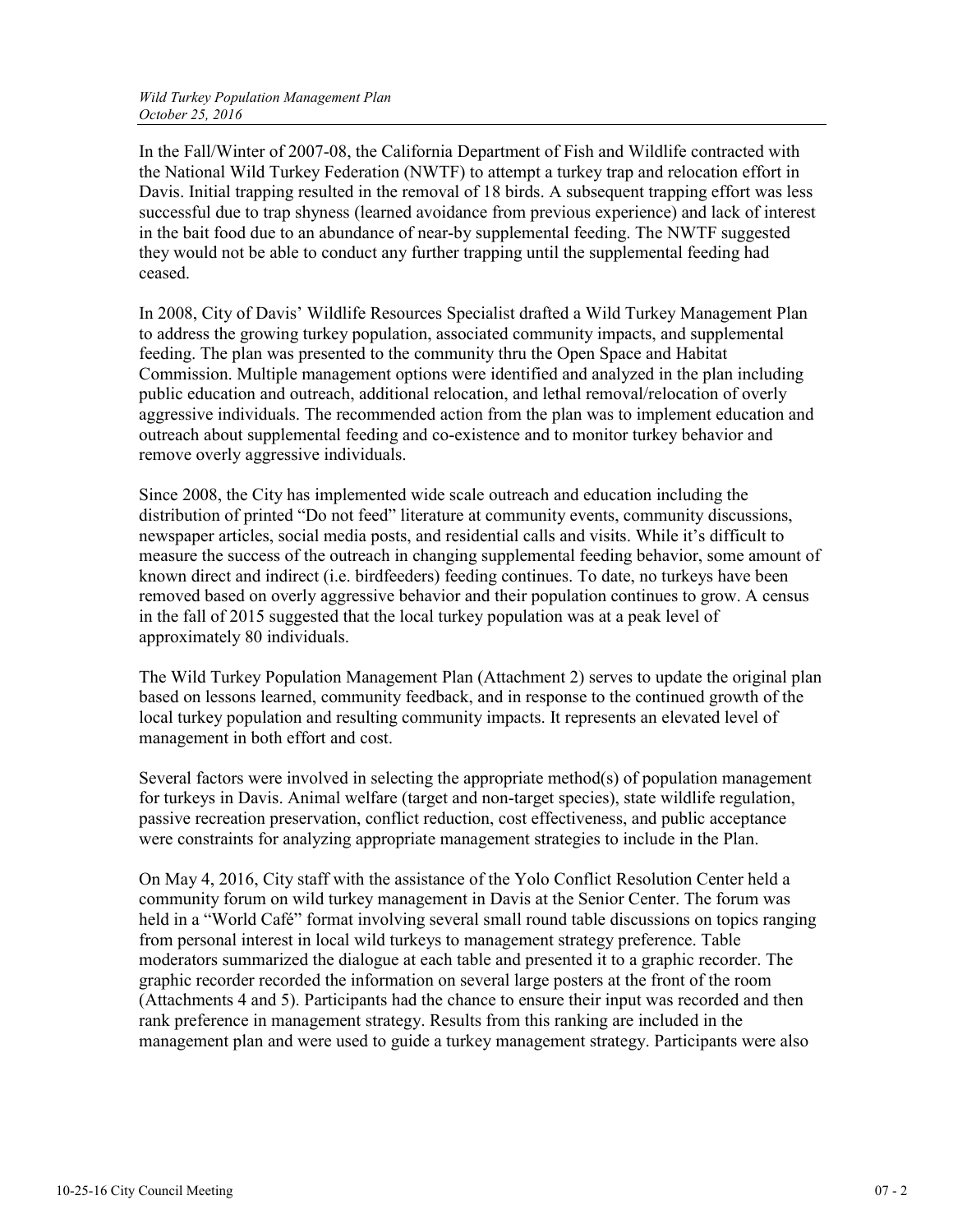In the Fall/Winter of 2007-08, the California Department of Fish and Wildlife contracted with the National Wild Turkey Federation (NWTF) to attempt a turkey trap and relocation effort in Davis. Initial trapping resulted in the removal of 18 birds. A subsequent trapping effort was less successful due to trap shyness (learned avoidance from previous experience) and lack of interest in the bait food due to an abundance of near-by supplemental feeding. The NWTF suggested they would not be able to conduct any further trapping until the supplemental feeding had ceased.

In 2008, City of Davis' Wildlife Resources Specialist drafted a Wild Turkey Management Plan to address the growing turkey population, associated community impacts, and supplemental feeding. The plan was presented to the community thru the Open Space and Habitat Commission. Multiple management options were identified and analyzed in the plan including public education and outreach, additional relocation, and lethal removal/relocation of overly aggressive individuals. The recommended action from the plan was to implement education and outreach about supplemental feeding and co-existence and to monitor turkey behavior and remove overly aggressive individuals.

Since 2008, the City has implemented wide scale outreach and education including the distribution of printed "Do not feed" literature at community events, community discussions, newspaper articles, social media posts, and residential calls and visits. While it's difficult to measure the success of the outreach in changing supplemental feeding behavior, some amount of known direct and indirect (i.e. birdfeeders) feeding continues. To date, no turkeys have been removed based on overly aggressive behavior and their population continues to grow. A census in the fall of 2015 suggested that the local turkey population was at a peak level of approximately 80 individuals.

The Wild Turkey Population Management Plan (Attachment 2) serves to update the original plan based on lessons learned, community feedback, and in response to the continued growth of the local turkey population and resulting community impacts. It represents an elevated level of management in both effort and cost.

Several factors were involved in selecting the appropriate method(s) of population management for turkeys in Davis. Animal welfare (target and non-target species), state wildlife regulation, passive recreation preservation, conflict reduction, cost effectiveness, and public acceptance were constraints for analyzing appropriate management strategies to include in the Plan.

On May 4, 2016, City staff with the assistance of the Yolo Conflict Resolution Center held a community forum on wild turkey management in Davis at the Senior Center. The forum was held in a "World Café" format involving several small round table discussions on topics ranging from personal interest in local wild turkeys to management strategy preference. Table moderators summarized the dialogue at each table and presented it to a graphic recorder. The graphic recorder recorded the information on several large posters at the front of the room (Attachments 4 and 5). Participants had the chance to ensure their input was recorded and then rank preference in management strategy. Results from this ranking are included in the management plan and were used to guide a turkey management strategy. Participants were also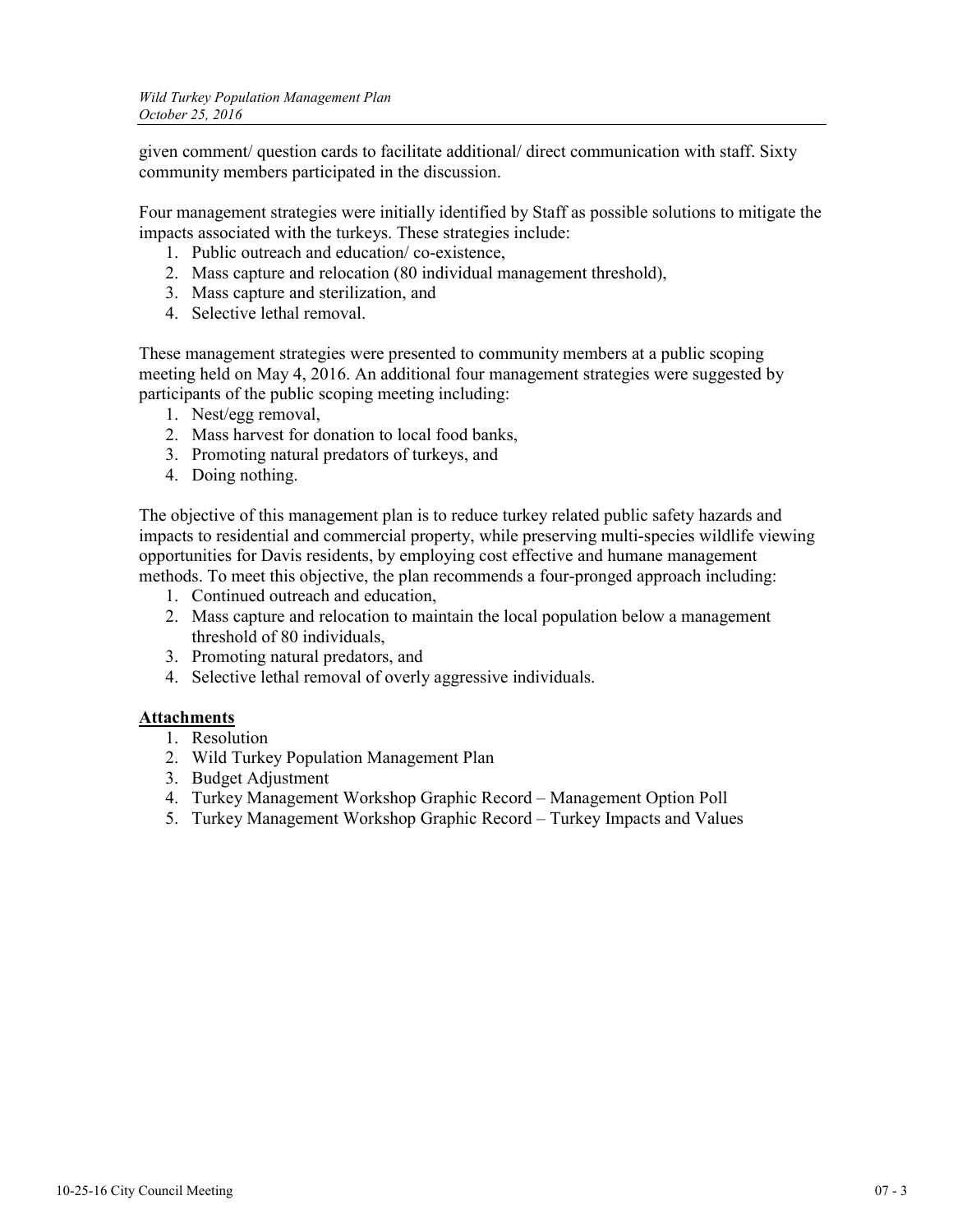given comment/ question cards to facilitate additional/ direct communication with staff. Sixty community members participated in the discussion.

Four management strategies were initially identified by Staff as possible solutions to mitigate the impacts associated with the turkeys. These strategies include:

- 1. Public outreach and education/ co-existence,
- 2. Mass capture and relocation (80 individual management threshold),
- 3. Mass capture and sterilization, and
- 4. Selective lethal removal.

These management strategies were presented to community members at a public scoping meeting held on May 4, 2016. An additional four management strategies were suggested by participants of the public scoping meeting including:

- 1. Nest/egg removal,
- 2. Mass harvest for donation to local food banks,
- 3. Promoting natural predators of turkeys, and
- 4. Doing nothing.

The objective of this management plan is to reduce turkey related public safety hazards and impacts to residential and commercial property, while preserving multi-species wildlife viewing opportunities for Davis residents, by employing cost effective and humane management methods. To meet this objective, the plan recommends a four-pronged approach including:

- 1. Continued outreach and education,
- 2. Mass capture and relocation to maintain the local population below a management threshold of 80 individuals,
- 3. Promoting natural predators, and
- 4. Selective lethal removal of overly aggressive individuals.

# **Attachments**

- 1. Resolution
- 2. Wild Turkey Population Management Plan
- 3. Budget Adjustment
- 4. Turkey Management Workshop Graphic Record Management Option Poll
- 5. Turkey Management Workshop Graphic Record Turkey Impacts and Values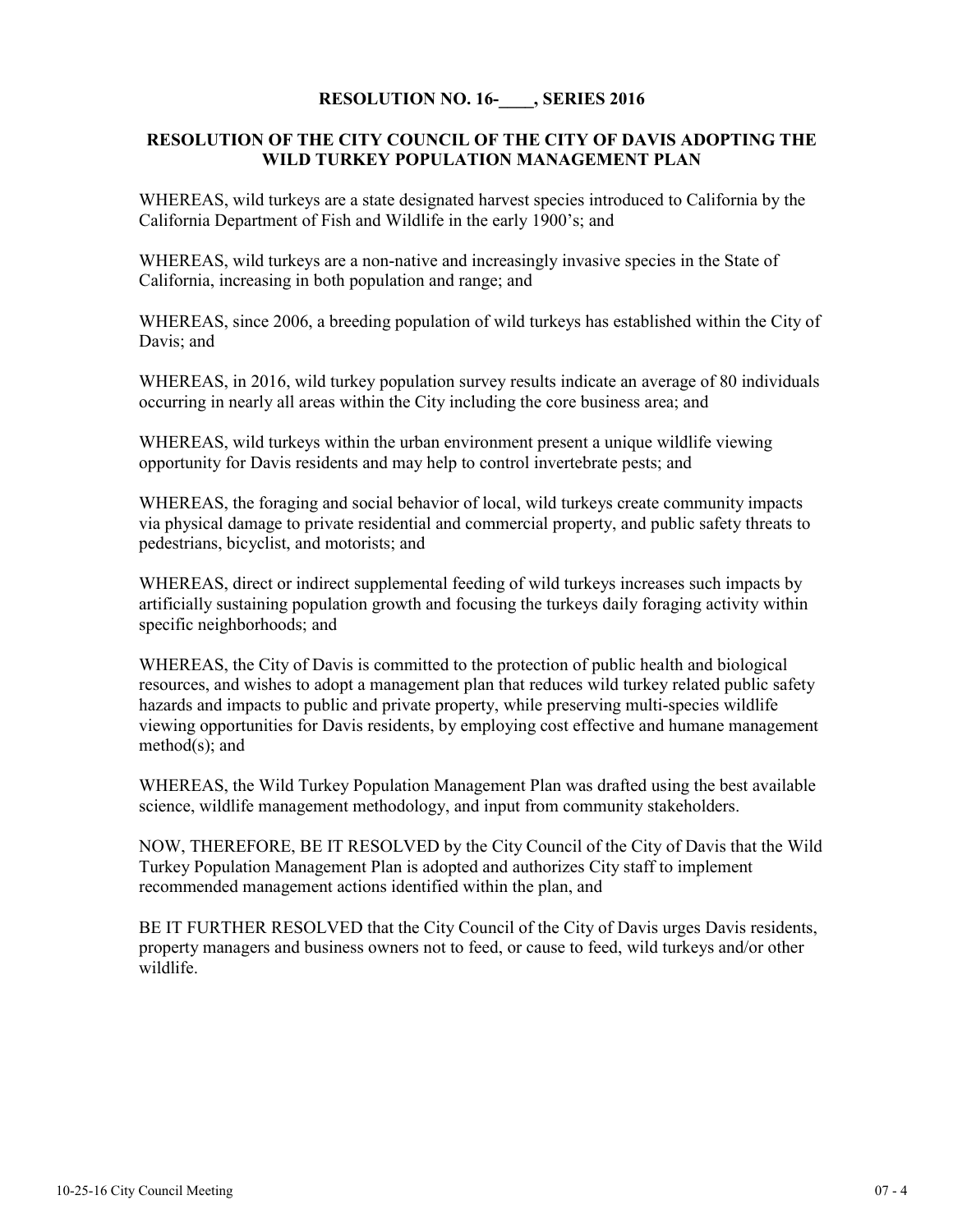# **RESOLUTION NO. 16-\_\_\_\_, SERIES 2016**

# **RESOLUTION OF THE CITY COUNCIL OF THE CITY OF DAVIS ADOPTING THE WILD TURKEY POPULATION MANAGEMENT PLAN**

WHEREAS, wild turkeys are a state designated harvest species introduced to California by the California Department of Fish and Wildlife in the early 1900's; and

WHEREAS, wild turkeys are a non-native and increasingly invasive species in the State of California, increasing in both population and range; and

WHEREAS, since 2006, a breeding population of wild turkeys has established within the City of Davis; and

WHEREAS, in 2016, wild turkey population survey results indicate an average of 80 individuals occurring in nearly all areas within the City including the core business area; and

WHEREAS, wild turkeys within the urban environment present a unique wildlife viewing opportunity for Davis residents and may help to control invertebrate pests; and

WHEREAS, the foraging and social behavior of local, wild turkeys create community impacts via physical damage to private residential and commercial property, and public safety threats to pedestrians, bicyclist, and motorists; and

WHEREAS, direct or indirect supplemental feeding of wild turkeys increases such impacts by artificially sustaining population growth and focusing the turkeys daily foraging activity within specific neighborhoods; and

WHEREAS, the City of Davis is committed to the protection of public health and biological resources, and wishes to adopt a management plan that reduces wild turkey related public safety hazards and impacts to public and private property, while preserving multi-species wildlife viewing opportunities for Davis residents, by employing cost effective and humane management method(s); and

WHEREAS, the Wild Turkey Population Management Plan was drafted using the best available science, wildlife management methodology, and input from community stakeholders.

NOW, THEREFORE, BE IT RESOLVED by the City Council of the City of Davis that the Wild Turkey Population Management Plan is adopted and authorizes City staff to implement recommended management actions identified within the plan, and

BE IT FURTHER RESOLVED that the City Council of the City of Davis urges Davis residents, property managers and business owners not to feed, or cause to feed, wild turkeys and/or other wildlife.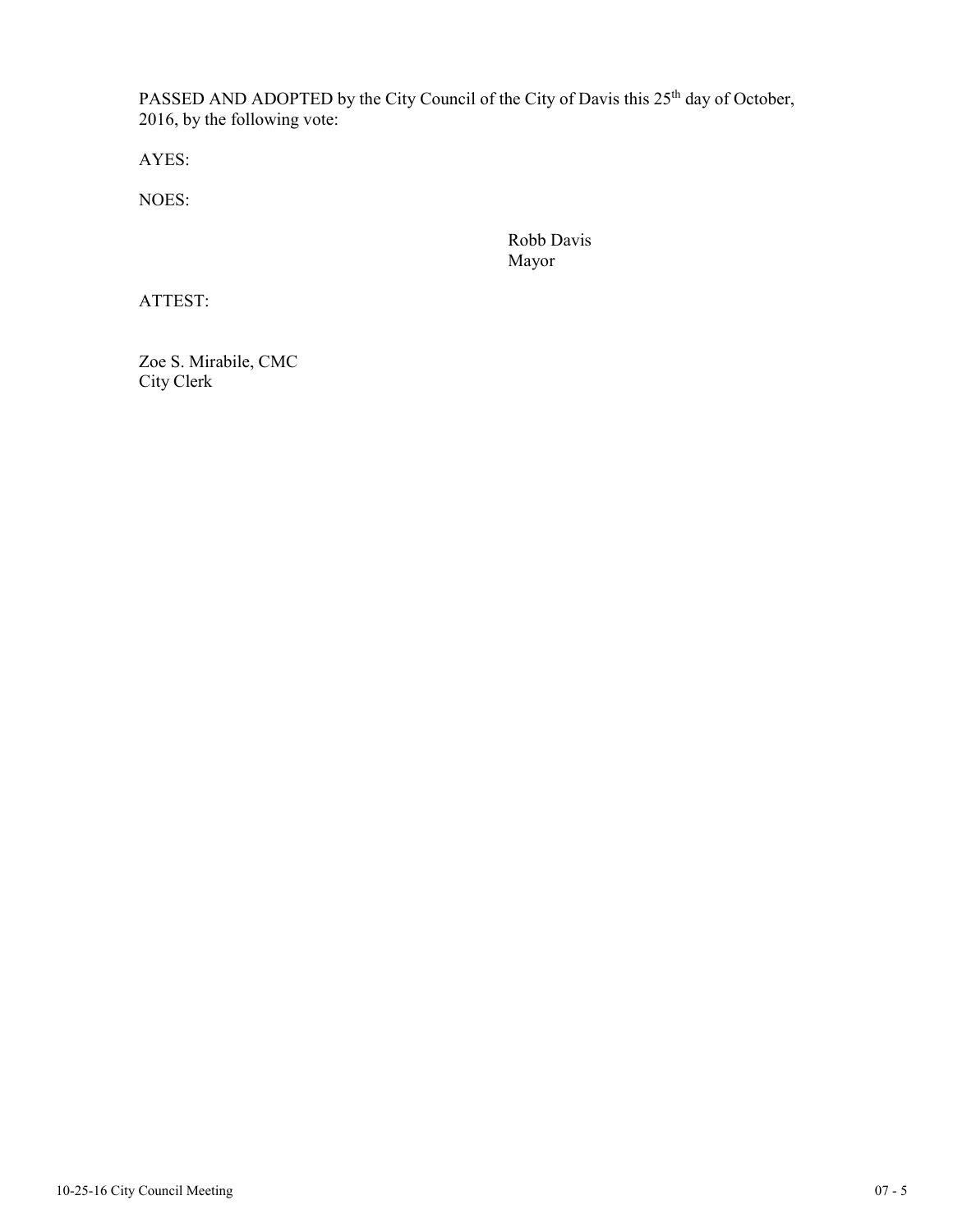PASSED AND ADOPTED by the City Council of the City of Davis this 25<sup>th</sup> day of October, 2016, by the following vote:

AYES:

NOES:

Robb Davis Mayor

ATTEST:

Zoe S. Mirabile, CMC City Clerk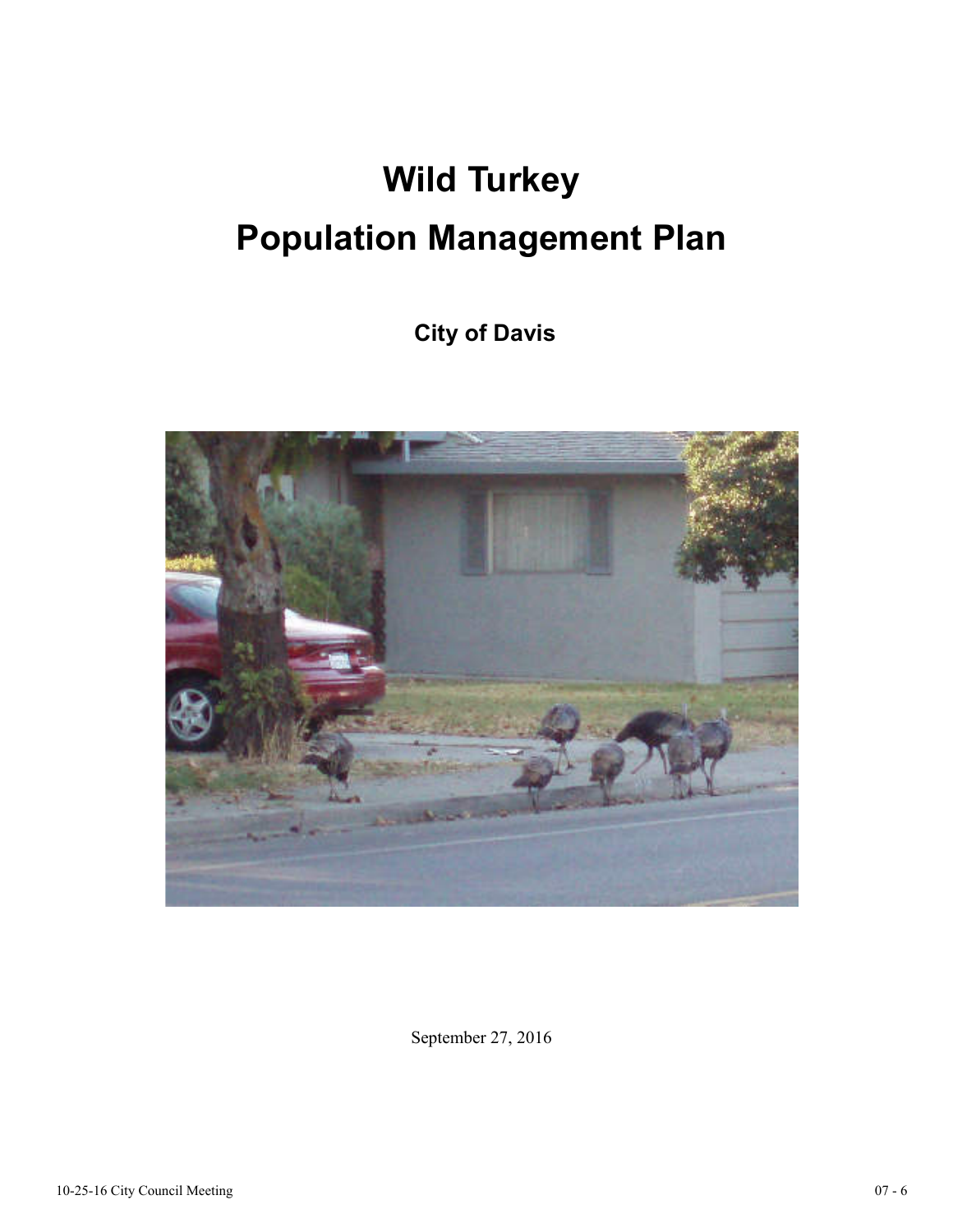# **Wild Turkey Population Management Plan**

 **City of Davis** 



September 27, 2016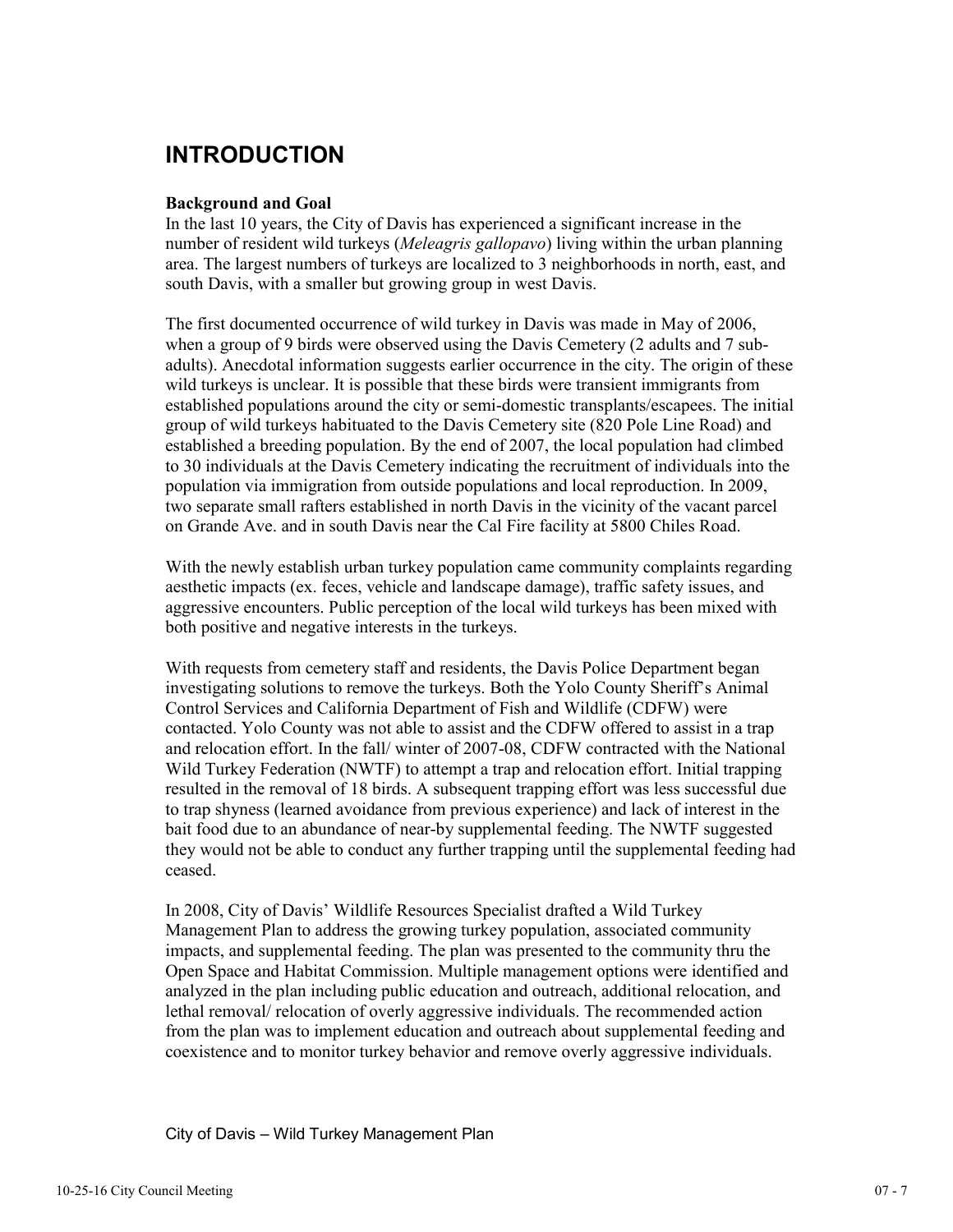# **INTRODUCTION**

# **Background and Goal**

In the last 10 years, the City of Davis has experienced a significant increase in the number of resident wild turkeys (*Meleagris gallopavo*) living within the urban planning area. The largest numbers of turkeys are localized to 3 neighborhoods in north, east, and south Davis, with a smaller but growing group in west Davis.

The first documented occurrence of wild turkey in Davis was made in May of 2006, when a group of 9 birds were observed using the Davis Cemetery (2 adults and 7 subadults). Anecdotal information suggests earlier occurrence in the city. The origin of these wild turkeys is unclear. It is possible that these birds were transient immigrants from established populations around the city or semi-domestic transplants/escapees. The initial group of wild turkeys habituated to the Davis Cemetery site (820 Pole Line Road) and established a breeding population. By the end of 2007, the local population had climbed to 30 individuals at the Davis Cemetery indicating the recruitment of individuals into the population via immigration from outside populations and local reproduction. In 2009, two separate small rafters established in north Davis in the vicinity of the vacant parcel on Grande Ave. and in south Davis near the Cal Fire facility at 5800 Chiles Road.

With the newly establish urban turkey population came community complaints regarding aesthetic impacts (ex. feces, vehicle and landscape damage), traffic safety issues, and aggressive encounters. Public perception of the local wild turkeys has been mixed with both positive and negative interests in the turkeys.

With requests from cemetery staff and residents, the Davis Police Department began investigating solutions to remove the turkeys. Both the Yolo County Sheriff's Animal Control Services and California Department of Fish and Wildlife (CDFW) were contacted. Yolo County was not able to assist and the CDFW offered to assist in a trap and relocation effort. In the fall/ winter of 2007-08, CDFW contracted with the National Wild Turkey Federation (NWTF) to attempt a trap and relocation effort. Initial trapping resulted in the removal of 18 birds. A subsequent trapping effort was less successful due to trap shyness (learned avoidance from previous experience) and lack of interest in the bait food due to an abundance of near-by supplemental feeding. The NWTF suggested they would not be able to conduct any further trapping until the supplemental feeding had ceased.

In 2008, City of Davis' Wildlife Resources Specialist drafted a Wild Turkey Management Plan to address the growing turkey population, associated community impacts, and supplemental feeding. The plan was presented to the community thru the Open Space and Habitat Commission. Multiple management options were identified and analyzed in the plan including public education and outreach, additional relocation, and lethal removal/ relocation of overly aggressive individuals. The recommended action from the plan was to implement education and outreach about supplemental feeding and coexistence and to monitor turkey behavior and remove overly aggressive individuals.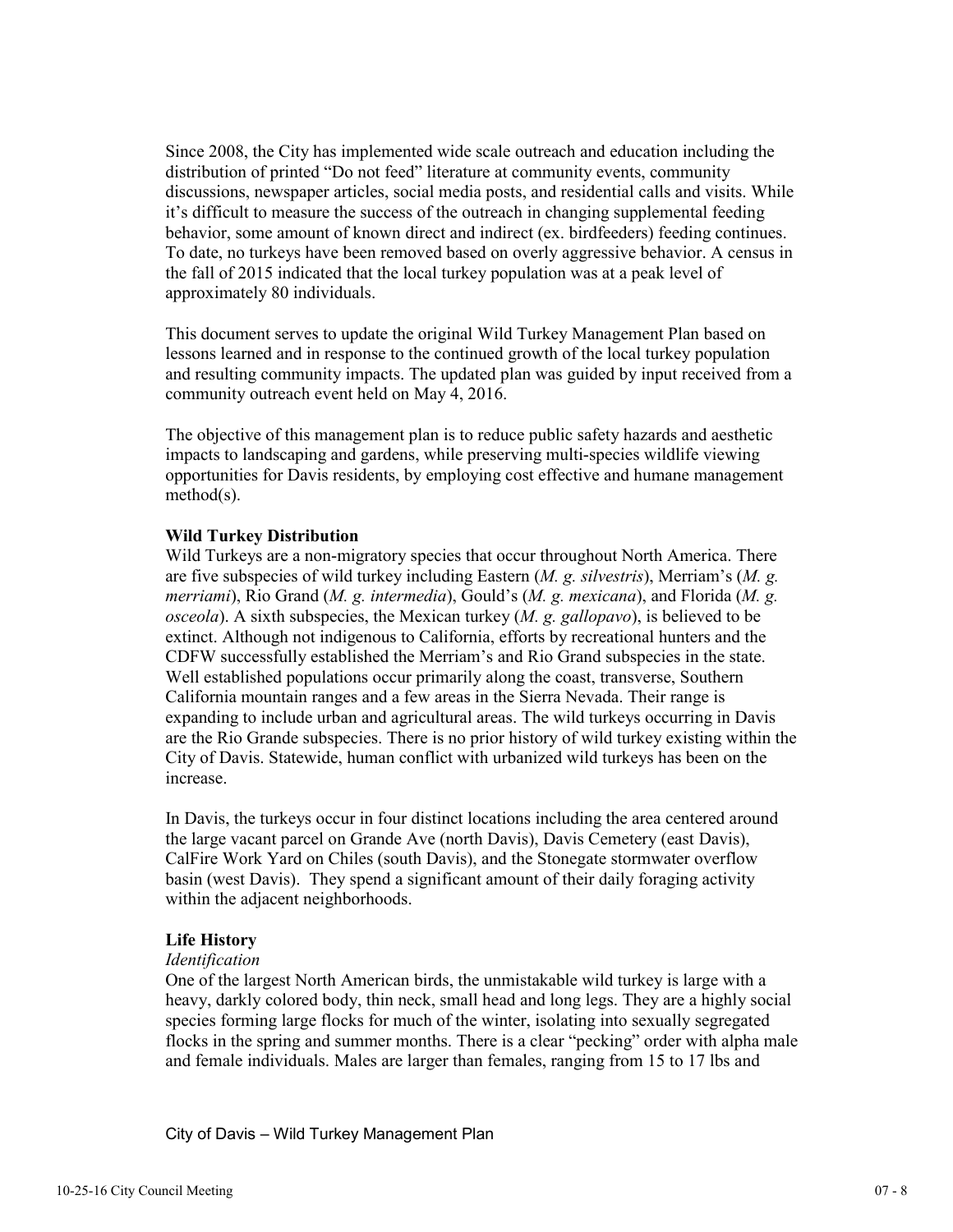Since 2008, the City has implemented wide scale outreach and education including the distribution of printed "Do not feed" literature at community events, community discussions, newspaper articles, social media posts, and residential calls and visits. While it's difficult to measure the success of the outreach in changing supplemental feeding behavior, some amount of known direct and indirect (ex. birdfeeders) feeding continues. To date, no turkeys have been removed based on overly aggressive behavior. A census in the fall of 2015 indicated that the local turkey population was at a peak level of approximately 80 individuals.

This document serves to update the original Wild Turkey Management Plan based on lessons learned and in response to the continued growth of the local turkey population and resulting community impacts. The updated plan was guided by input received from a community outreach event held on May 4, 2016.

The objective of this management plan is to reduce public safety hazards and aesthetic impacts to landscaping and gardens, while preserving multi-species wildlife viewing opportunities for Davis residents, by employing cost effective and humane management method(s).

# **Wild Turkey Distribution**

Wild Turkeys are a non-migratory species that occur throughout North America. There are five subspecies of wild turkey including Eastern (*M. g. silvestris*), Merriam's (*M. g. merriami*), Rio Grand (*M. g. intermedia*), Gould's (*M. g. mexicana*), and Florida (*M. g. osceola*). A sixth subspecies, the Mexican turkey (*M. g. gallopavo*), is believed to be extinct. Although not indigenous to California, efforts by recreational hunters and the CDFW successfully established the Merriam's and Rio Grand subspecies in the state. Well established populations occur primarily along the coast, transverse, Southern California mountain ranges and a few areas in the Sierra Nevada. Their range is expanding to include urban and agricultural areas. The wild turkeys occurring in Davis are the Rio Grande subspecies. There is no prior history of wild turkey existing within the City of Davis. Statewide, human conflict with urbanized wild turkeys has been on the increase.

In Davis, the turkeys occur in four distinct locations including the area centered around the large vacant parcel on Grande Ave (north Davis), Davis Cemetery (east Davis), CalFire Work Yard on Chiles (south Davis), and the Stonegate stormwater overflow basin (west Davis). They spend a significant amount of their daily foraging activity within the adjacent neighborhoods.

# **Life History**

#### *Identification*

One of the largest North American birds, the unmistakable wild turkey is large with a heavy, darkly colored body, thin neck, small head and long legs. They are a highly social species forming large flocks for much of the winter, isolating into sexually segregated flocks in the spring and summer months. There is a clear "pecking" order with alpha male and female individuals. Males are larger than females, ranging from 15 to 17 lbs and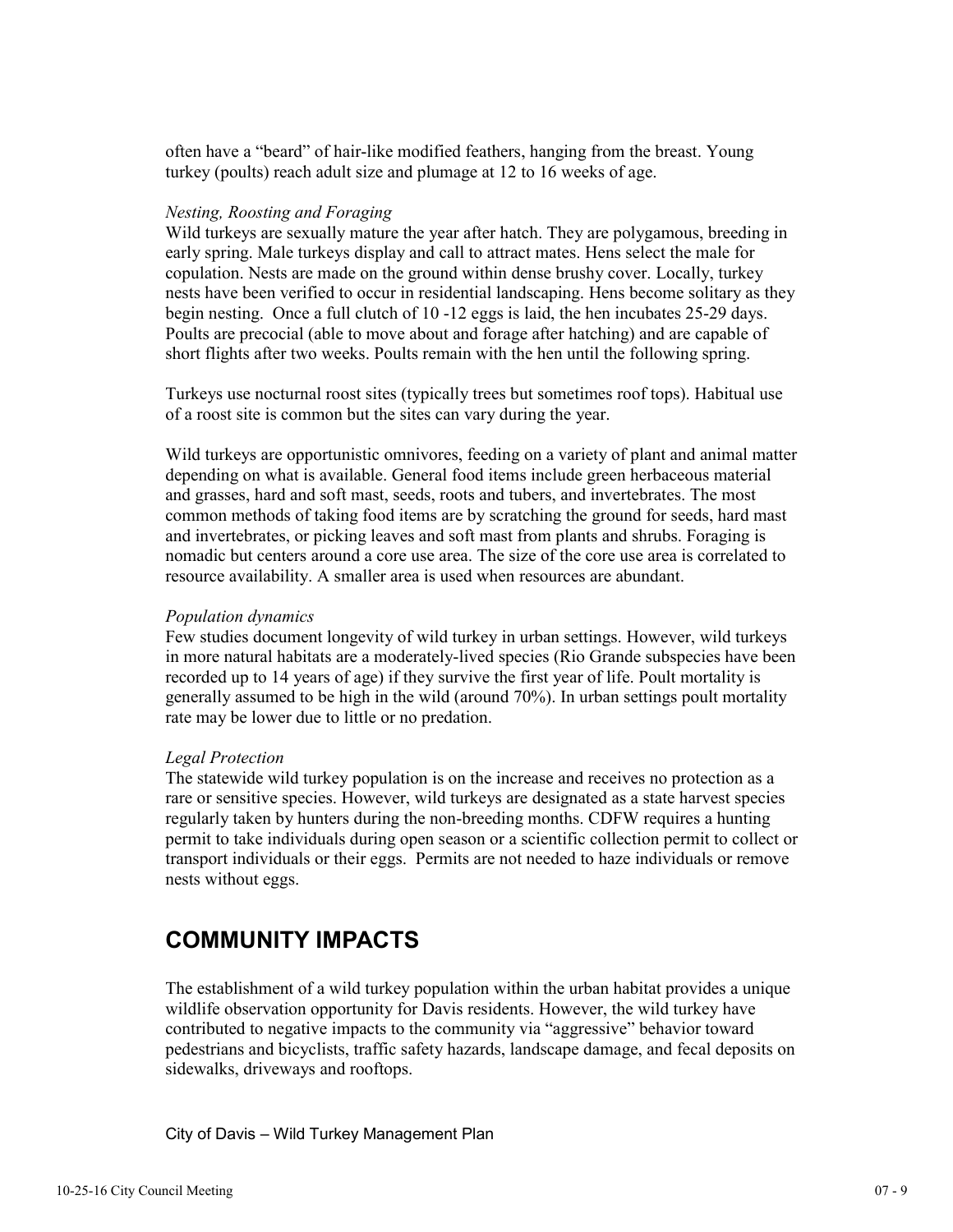often have a "beard" of hair-like modified feathers, hanging from the breast. Young turkey (poults) reach adult size and plumage at 12 to 16 weeks of age.

#### *Nesting, Roosting and Foraging*

Wild turkeys are sexually mature the year after hatch. They are polygamous, breeding in early spring. Male turkeys display and call to attract mates. Hens select the male for copulation. Nests are made on the ground within dense brushy cover. Locally, turkey nests have been verified to occur in residential landscaping. Hens become solitary as they begin nesting. Once a full clutch of 10 -12 eggs is laid, the hen incubates 25-29 days. Poults are precocial (able to move about and forage after hatching) and are capable of short flights after two weeks. Poults remain with the hen until the following spring.

Turkeys use nocturnal roost sites (typically trees but sometimes roof tops). Habitual use of a roost site is common but the sites can vary during the year.

Wild turkeys are opportunistic omnivores, feeding on a variety of plant and animal matter depending on what is available. General food items include green herbaceous material and grasses, hard and soft mast, seeds, roots and tubers, and invertebrates. The most common methods of taking food items are by scratching the ground for seeds, hard mast and invertebrates, or picking leaves and soft mast from plants and shrubs. Foraging is nomadic but centers around a core use area. The size of the core use area is correlated to resource availability. A smaller area is used when resources are abundant.

#### *Population dynamics*

Few studies document longevity of wild turkey in urban settings. However, wild turkeys in more natural habitats are a moderately-lived species (Rio Grande subspecies have been recorded up to 14 years of age) if they survive the first year of life. Poult mortality is generally assumed to be high in the wild (around 70%). In urban settings poult mortality rate may be lower due to little or no predation.

#### *Legal Protection*

The statewide wild turkey population is on the increase and receives no protection as a rare or sensitive species. However, wild turkeys are designated as a state harvest species regularly taken by hunters during the non-breeding months. CDFW requires a hunting permit to take individuals during open season or a scientific collection permit to collect or transport individuals or their eggs. Permits are not needed to haze individuals or remove nests without eggs.

# **COMMUNITY IMPACTS**

The establishment of a wild turkey population within the urban habitat provides a unique wildlife observation opportunity for Davis residents. However, the wild turkey have contributed to negative impacts to the community via "aggressive" behavior toward pedestrians and bicyclists, traffic safety hazards, landscape damage, and fecal deposits on sidewalks, driveways and rooftops.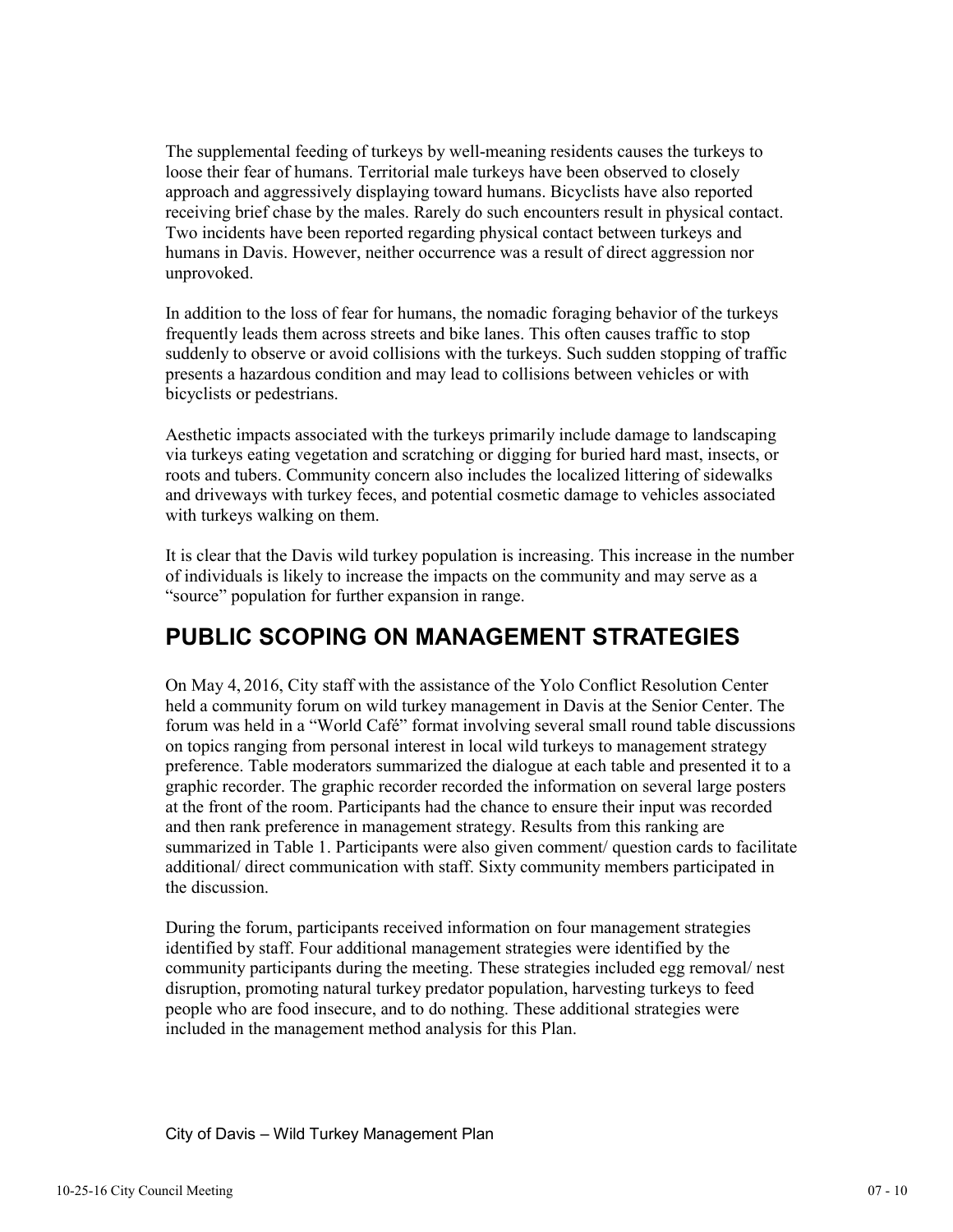The supplemental feeding of turkeys by well-meaning residents causes the turkeys to loose their fear of humans. Territorial male turkeys have been observed to closely approach and aggressively displaying toward humans. Bicyclists have also reported receiving brief chase by the males. Rarely do such encounters result in physical contact. Two incidents have been reported regarding physical contact between turkeys and humans in Davis. However, neither occurrence was a result of direct aggression nor unprovoked.

In addition to the loss of fear for humans, the nomadic foraging behavior of the turkeys frequently leads them across streets and bike lanes. This often causes traffic to stop suddenly to observe or avoid collisions with the turkeys. Such sudden stopping of traffic presents a hazardous condition and may lead to collisions between vehicles or with bicyclists or pedestrians.

Aesthetic impacts associated with the turkeys primarily include damage to landscaping via turkeys eating vegetation and scratching or digging for buried hard mast, insects, or roots and tubers. Community concern also includes the localized littering of sidewalks and driveways with turkey feces, and potential cosmetic damage to vehicles associated with turkeys walking on them.

It is clear that the Davis wild turkey population is increasing. This increase in the number of individuals is likely to increase the impacts on the community and may serve as a "source" population for further expansion in range.

# **PUBLIC SCOPING ON MANAGEMENT STRATEGIES**

On May 4, 2016, City staff with the assistance of the Yolo Conflict Resolution Center held a community forum on wild turkey management in Davis at the Senior Center. The forum was held in a "World Café" format involving several small round table discussions on topics ranging from personal interest in local wild turkeys to management strategy preference. Table moderators summarized the dialogue at each table and presented it to a graphic recorder. The graphic recorder recorded the information on several large posters at the front of the room. Participants had the chance to ensure their input was recorded and then rank preference in management strategy. Results from this ranking are summarized in Table 1. Participants were also given comment/ question cards to facilitate additional/ direct communication with staff. Sixty community members participated in the discussion.

During the forum, participants received information on four management strategies identified by staff. Four additional management strategies were identified by the community participants during the meeting. These strategies included egg removal/ nest disruption, promoting natural turkey predator population, harvesting turkeys to feed people who are food insecure, and to do nothing. These additional strategies were included in the management method analysis for this Plan.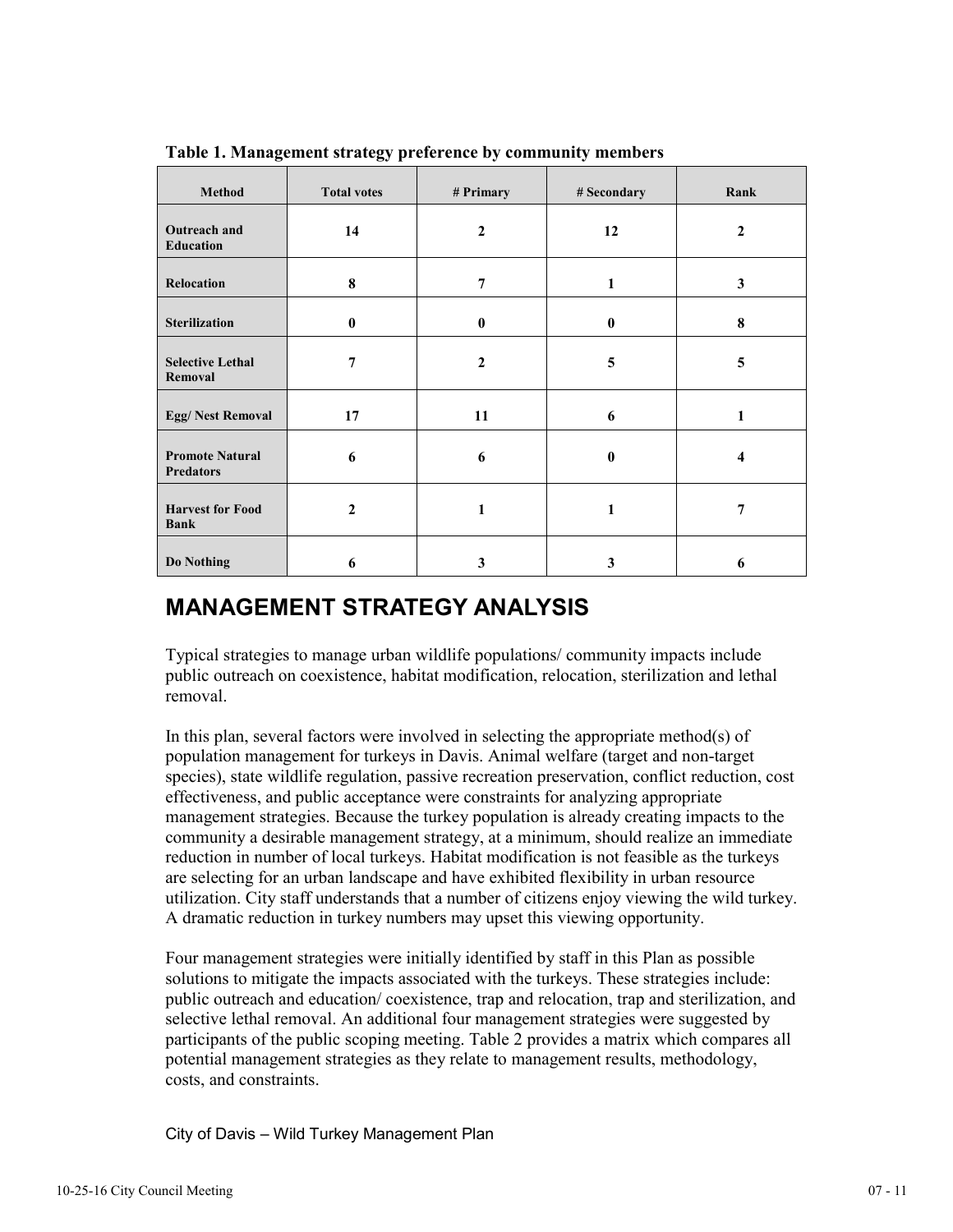| <b>Method</b>                              | <b>Total votes</b> | # Primary      | # Secondary | Rank                    |
|--------------------------------------------|--------------------|----------------|-------------|-------------------------|
| <b>Outreach and</b><br><b>Education</b>    | 14                 | $\overline{2}$ | 12          | $\overline{2}$          |
| Relocation                                 | 8                  | $\overline{7}$ | 1           | 3                       |
| <b>Sterilization</b>                       | $\bf{0}$           | $\bf{0}$       | $\bf{0}$    | 8                       |
| <b>Selective Lethal</b><br>Removal         | $\overline{7}$     | $\overline{2}$ | 5           | 5                       |
| <b>Egg/Nest Removal</b>                    | 17                 | 11             | 6           | 1                       |
| <b>Promote Natural</b><br><b>Predators</b> | 6                  | 6              | $\bf{0}$    | $\overline{\mathbf{4}}$ |
| <b>Harvest for Food</b><br><b>Bank</b>     | $\mathbf{2}$       | 1              | 1           | 7                       |
| Do Nothing                                 | 6                  | 3              | 3           | 6                       |

**Table 1. Management strategy preference by community members** 

# **MANAGEMENT STRATEGY ANALYSIS**

Typical strategies to manage urban wildlife populations/ community impacts include public outreach on coexistence, habitat modification, relocation, sterilization and lethal removal.

In this plan, several factors were involved in selecting the appropriate method(s) of population management for turkeys in Davis. Animal welfare (target and non-target species), state wildlife regulation, passive recreation preservation, conflict reduction, cost effectiveness, and public acceptance were constraints for analyzing appropriate management strategies. Because the turkey population is already creating impacts to the community a desirable management strategy, at a minimum, should realize an immediate reduction in number of local turkeys. Habitat modification is not feasible as the turkeys are selecting for an urban landscape and have exhibited flexibility in urban resource utilization. City staff understands that a number of citizens enjoy viewing the wild turkey. A dramatic reduction in turkey numbers may upset this viewing opportunity.

Four management strategies were initially identified by staff in this Plan as possible solutions to mitigate the impacts associated with the turkeys. These strategies include: public outreach and education/ coexistence, trap and relocation, trap and sterilization, and selective lethal removal. An additional four management strategies were suggested by participants of the public scoping meeting. Table 2 provides a matrix which compares all potential management strategies as they relate to management results, methodology, costs, and constraints.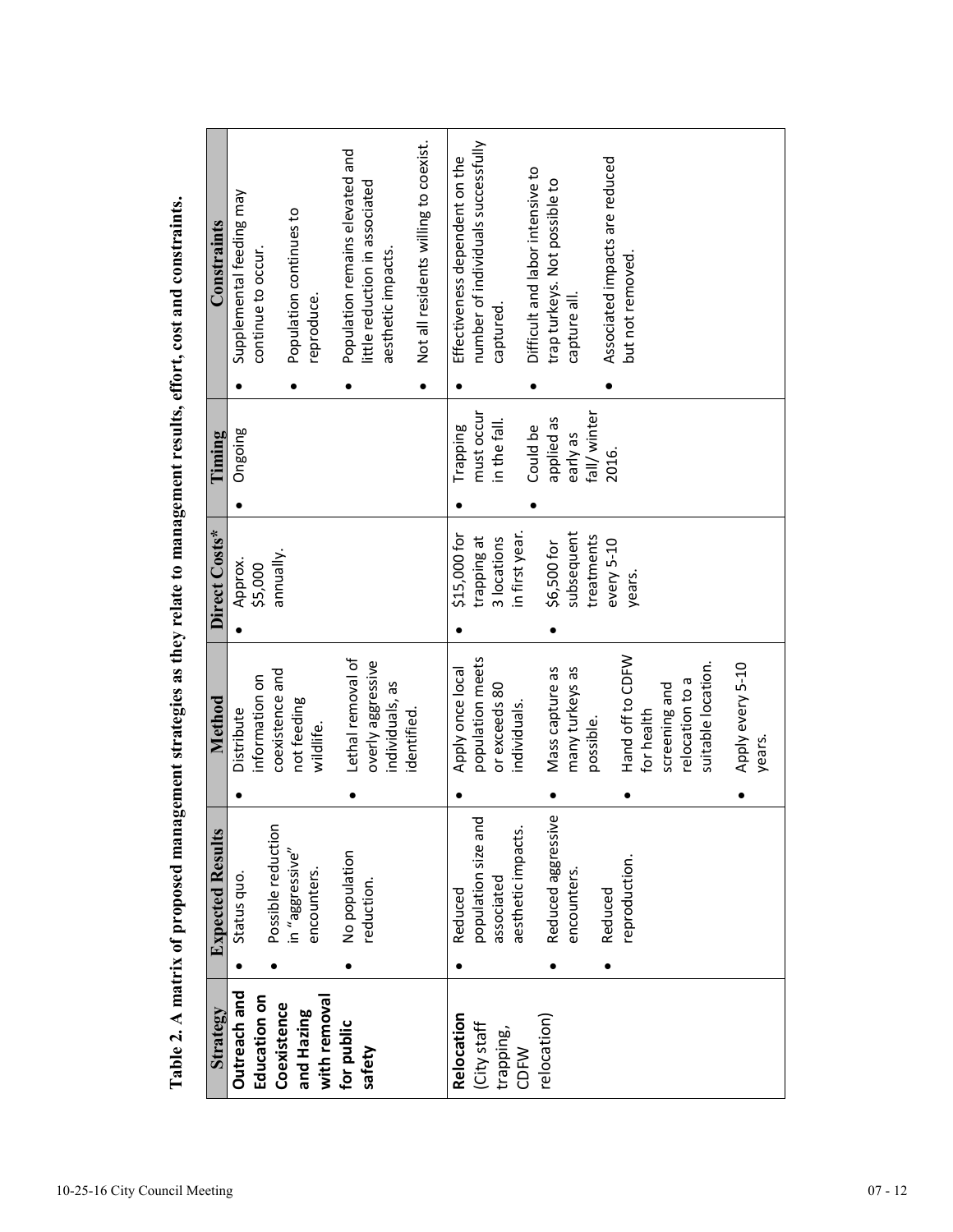| Constraints<br>Timing   | Population remains elevated and<br>Supplemental feeding may<br>Population continues to<br>continue to occur.<br>reproduce.<br>Ongoing | Not all residents willing to coexist.<br>Effectiveness dependent on the<br>little reduction in associated<br>aesthetic impacts.<br>Trapping | number of individuals successfully<br>Difficult and labor intensive to<br>trap turkeys. Not possible to<br>capture all.<br>captured.<br>fall/winter<br>must occur<br>applied as<br>in the fall.<br>Could be<br>early as | Associated impacts are reduced<br>but not removed<br>2016.                                                             |
|-------------------------|---------------------------------------------------------------------------------------------------------------------------------------|---------------------------------------------------------------------------------------------------------------------------------------------|-------------------------------------------------------------------------------------------------------------------------------------------------------------------------------------------------------------------------|------------------------------------------------------------------------------------------------------------------------|
|                         |                                                                                                                                       |                                                                                                                                             |                                                                                                                                                                                                                         |                                                                                                                        |
| Direct Costs*           | annually.<br>Approx.<br>\$5,000                                                                                                       | \$15,000 for                                                                                                                                | in first year.<br>subsequent<br>treatments<br>trapping at<br>3 locations<br>\$6,500 for                                                                                                                                 | every 5-10<br>years.                                                                                                   |
| Method                  | Lethal removal of<br>coexistence and<br>information on<br>not feeding<br>Distribute<br>wildlife.                                      | overly aggressive<br>Apply once local<br>individuals, as<br>identified.                                                                     | population meets<br>Mass capture as<br>many turkeys as<br>or exceeds 80<br>individuals.<br>possible.                                                                                                                    | Hand off to CDFW<br>suitable location.<br>Apply every 5-10<br>relocation to a<br>screening and<br>for health<br>years. |
|                         |                                                                                                                                       |                                                                                                                                             |                                                                                                                                                                                                                         |                                                                                                                        |
| <b>Expected Results</b> | Possible reduction<br>in "aggressive"<br>No population<br>encounters.<br>Status quo.                                                  | reduction.<br>Reduced                                                                                                                       | Őδ<br>ರ<br>population size an<br>aesthetic impacts.<br>Reduced aggressiv<br>encounters.<br>associated<br>Reduced                                                                                                        | reproduction.                                                                                                          |
|                         |                                                                                                                                       |                                                                                                                                             |                                                                                                                                                                                                                         |                                                                                                                        |
| Strategy                | Outreach and<br>Education on<br>with removal<br>Coexistence<br>and Hazing<br>for public                                               | Relocation<br>safety                                                                                                                        | relocation)<br>(City staff<br>trapping,<br><b>CDFW</b>                                                                                                                                                                  |                                                                                                                        |

Table 2. A matrix of proposed management strategies as they relate to management results, effort, cost and constraints. **Table 2. A matrix of proposed management strategies as they relate to management results, effort, cost and constraints.**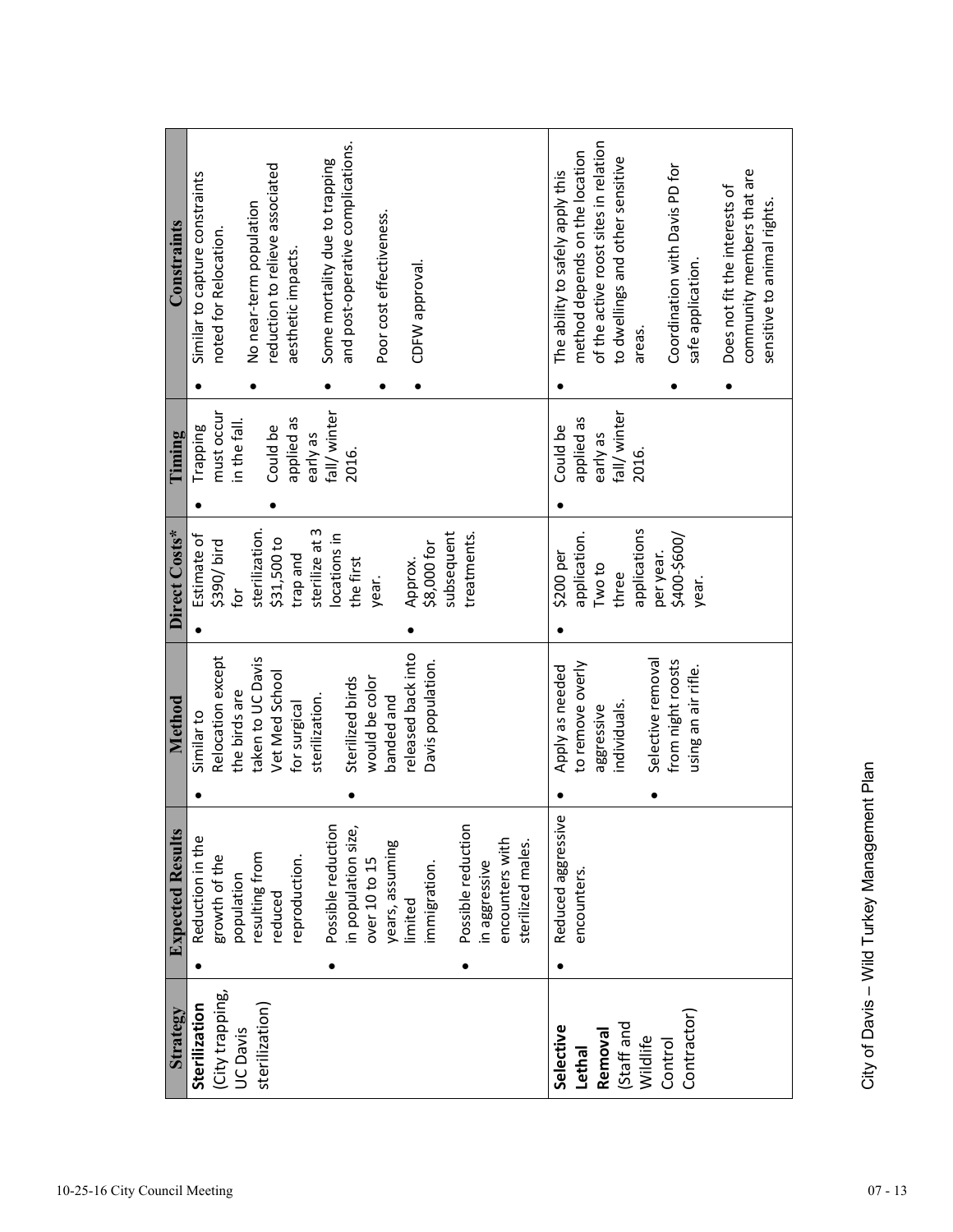| Strategy        | <b>Expected Results</b> | Method                                   | Direct Costs*         | Timing       | Constraints                                         |
|-----------------|-------------------------|------------------------------------------|-----------------------|--------------|-----------------------------------------------------|
| Sterilization   | Reduction in the        | Similar to                               | Estimate of           | Trapping     | Similar to capture constraints                      |
| (City trapping, | growth of the           | Relocation except                        | \$390/bird            | must occur   | noted for Relocation.                               |
| UC Davis        | population              | the birds are                            | ίō                    | in the fall. |                                                     |
| sterilization)  | resulting from          | taken to UC Davis                        | sterilization.        |              | No near-term population                             |
|                 | reduced                 | Vet Med School                           | \$31,500 to           | Could be     | reduction to relieve associated                     |
|                 | reproduction.           | for surgical                             | bue de.p              | applied as   | aesthetic impacts.                                  |
|                 |                         | sterilization.                           | sterilize at 3        | early as     |                                                     |
|                 | Possible reduction      |                                          | ocations in           | fall/winter  | Some mortality due to trapping                      |
|                 | in population size,     | Sterilized birds                         | the first             | 2016.        | and post-operative complications.                   |
|                 | over 10 to 15           | would be color                           | year.                 |              |                                                     |
|                 | years, assuming         | banded and                               |                       |              | Poor cost effectiveness.                            |
|                 | limited                 | released back into                       | Approx.               |              | CDFW approval.                                      |
|                 | immigration.            | Davis population.                        | \$8,000 for           |              |                                                     |
|                 |                         |                                          | subsequent            |              |                                                     |
|                 | Possible reduction      |                                          | treatments.           |              |                                                     |
|                 | in aggressive           |                                          |                       |              |                                                     |
|                 | encounters with         |                                          |                       |              |                                                     |
|                 | sterilized males.       |                                          |                       |              |                                                     |
| Selective       | φ<br>Reduced aggressiv  | Apply as needed                          | \$200 per             | Could be     | The ability to safely apply this                    |
| <b>Lethal</b>   | encounters              | to remove overly                         | application.          | applied as   | method depends on the location                      |
| Removal         |                         | aggressive                               | Two to                | early as     | of the active roost sites in relation               |
| (Staff and      |                         | individuals.                             | three                 | fall/winter  | to dwellings and other sensitive                    |
| Wildlife        |                         |                                          | applications          | 2016.        | areas.                                              |
| Control         |                         | Selective removal                        | per year.             |              |                                                     |
| Contractor)     |                         | from night roosts<br>using an air rifle. | \$400-\$600/<br>year. |              | Coordination with Davis PD for<br>safe application. |
|                 |                         |                                          |                       |              | Does not fit the interests of                       |
|                 |                         |                                          |                       |              | community members that are                          |
|                 |                         |                                          |                       |              | sensitive to animal rights.                         |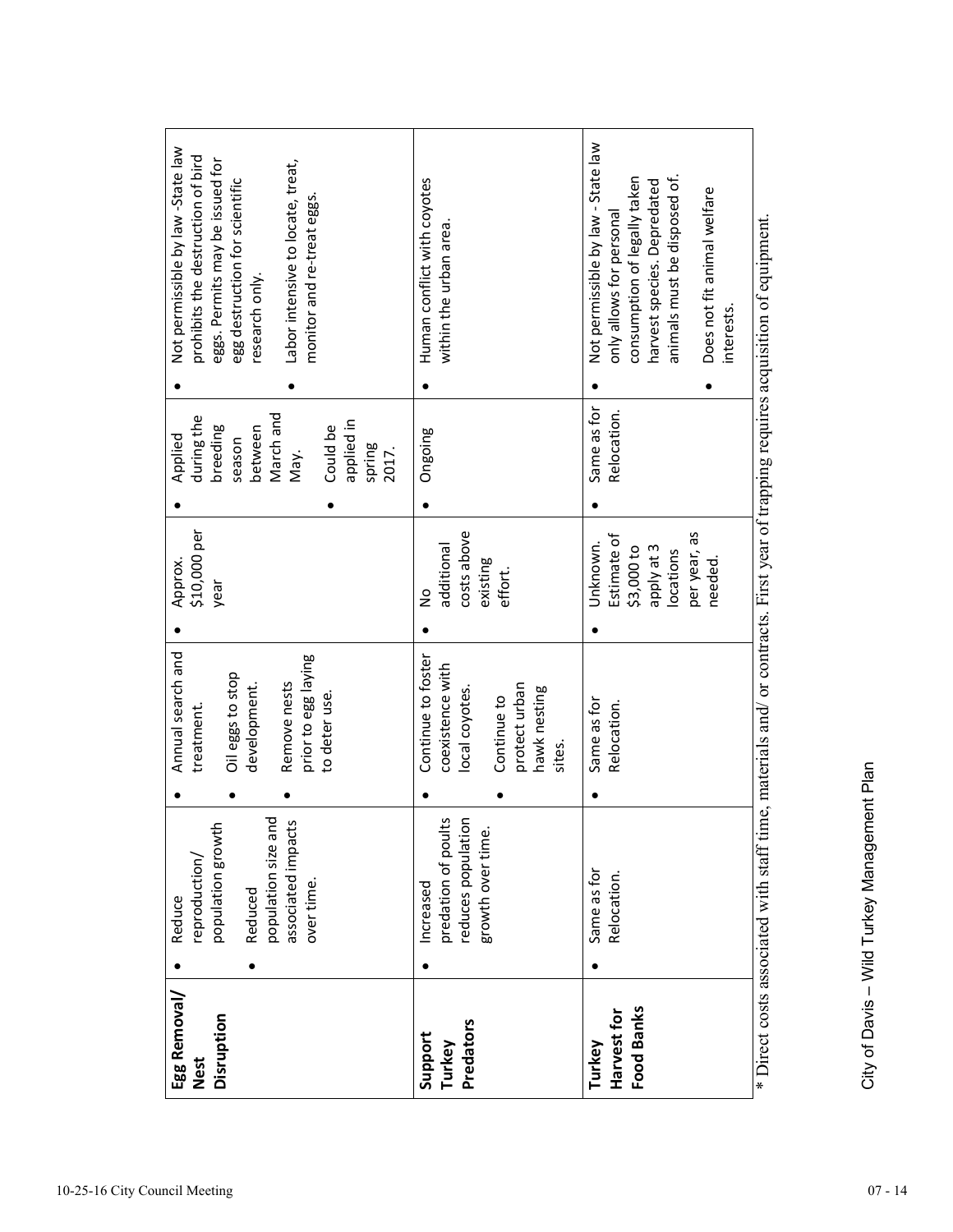| Egg Removal/<br><b>Nest</b> | reproduction/<br>Reduce                   | Annual search and<br>treatment.        | \$10,000 per<br>Approx.  | during the<br>Applied                     | Not permissible by law -State law<br>prohibits the destruction of bird                                                            |
|-----------------------------|-------------------------------------------|----------------------------------------|--------------------------|-------------------------------------------|-----------------------------------------------------------------------------------------------------------------------------------|
| Disruption                  | population growth                         | Oil eggs to stop                       | year                     | breeding<br>season                        | eggs. Permits may be issued for<br>egg destruction for scientific                                                                 |
|                             | Reduced                                   | development.                           |                          | between                                   | research only.                                                                                                                    |
|                             | population size and<br>associated impacts | Remove nests                           |                          | March and<br>May.                         | Labor intensive to locate, treat,                                                                                                 |
|                             | over time.                                | prior to egg laying                    |                          |                                           | monitor and re-treat eggs                                                                                                         |
|                             |                                           | to deter use.                          |                          | applied in<br>Could be<br>spring<br>2017. |                                                                                                                                   |
|                             |                                           |                                        |                          |                                           |                                                                                                                                   |
| Support<br>Turkey           | predation of poults<br>Increased          | Continue to foster<br>coexistence with | additional<br>S          | Ongoing                                   | Human conflict with coyotes<br>within the urban area                                                                              |
| Predators                   | reduces population                        | local coyotes.                         | costs above              |                                           |                                                                                                                                   |
|                             | growth over time.                         |                                        | existing                 |                                           |                                                                                                                                   |
|                             |                                           | protect urban<br>Continue to           | effort.                  |                                           |                                                                                                                                   |
|                             |                                           | hawk nesting<br>sites.                 |                          |                                           |                                                                                                                                   |
| Turkey                      | Same as for                               | Same as for                            | Unknown.                 | Same as for                               | Not permissible by law - State law                                                                                                |
| Harvest for                 | Relocation.                               | Relocation.                            | Estimate of              | Relocation.                               | only allows for personal                                                                                                          |
| Food Banks                  |                                           |                                        | apply at 3<br>\$3,000 to |                                           | consumption of legally taken<br>harvest species. Depredated                                                                       |
|                             |                                           |                                        | locations                |                                           | animals must be disposed of                                                                                                       |
|                             |                                           |                                        | per year, as<br>needed.  |                                           | Does not fit animal welfare                                                                                                       |
|                             |                                           |                                        |                          |                                           | interests                                                                                                                         |
|                             |                                           |                                        |                          |                                           | * Direct costs associated with staff time, materials and/ or contracts. First year of trapping requires acquisition of equipment. |

City of Davis - Wild Turkey Management Plan City of Davis – Wild Turkey Management Plan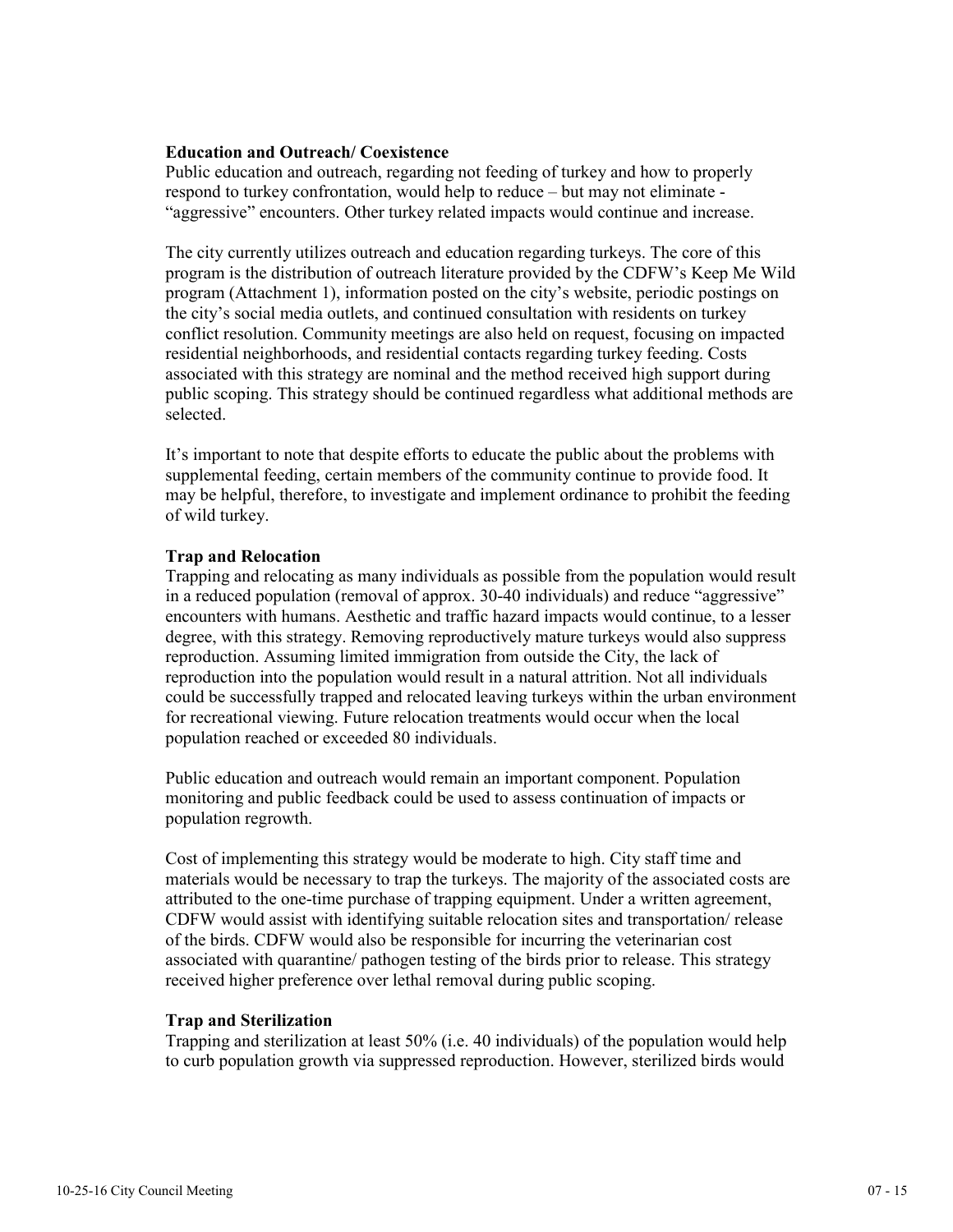# **Education and Outreach/ Coexistence**

Public education and outreach, regarding not feeding of turkey and how to properly respond to turkey confrontation, would help to reduce – but may not eliminate - "aggressive" encounters. Other turkey related impacts would continue and increase.

The city currently utilizes outreach and education regarding turkeys. The core of this program is the distribution of outreach literature provided by the CDFW's Keep Me Wild program (Attachment 1), information posted on the city's website, periodic postings on the city's social media outlets, and continued consultation with residents on turkey conflict resolution. Community meetings are also held on request, focusing on impacted residential neighborhoods, and residential contacts regarding turkey feeding. Costs associated with this strategy are nominal and the method received high support during public scoping. This strategy should be continued regardless what additional methods are selected.

It's important to note that despite efforts to educate the public about the problems with supplemental feeding, certain members of the community continue to provide food. It may be helpful, therefore, to investigate and implement ordinance to prohibit the feeding of wild turkey.

# **Trap and Relocation**

Trapping and relocating as many individuals as possible from the population would result in a reduced population (removal of approx. 30-40 individuals) and reduce "aggressive" encounters with humans. Aesthetic and traffic hazard impacts would continue, to a lesser degree, with this strategy. Removing reproductively mature turkeys would also suppress reproduction. Assuming limited immigration from outside the City, the lack of reproduction into the population would result in a natural attrition. Not all individuals could be successfully trapped and relocated leaving turkeys within the urban environment for recreational viewing. Future relocation treatments would occur when the local population reached or exceeded 80 individuals.

Public education and outreach would remain an important component. Population monitoring and public feedback could be used to assess continuation of impacts or population regrowth.

Cost of implementing this strategy would be moderate to high. City staff time and materials would be necessary to trap the turkeys. The majority of the associated costs are attributed to the one-time purchase of trapping equipment. Under a written agreement, CDFW would assist with identifying suitable relocation sites and transportation/ release of the birds. CDFW would also be responsible for incurring the veterinarian cost associated with quarantine/ pathogen testing of the birds prior to release. This strategy received higher preference over lethal removal during public scoping.

#### **Trap and Sterilization**

Trapping and sterilization at least 50% (i.e. 40 individuals) of the population would help to curb population growth via suppressed reproduction. However, sterilized birds would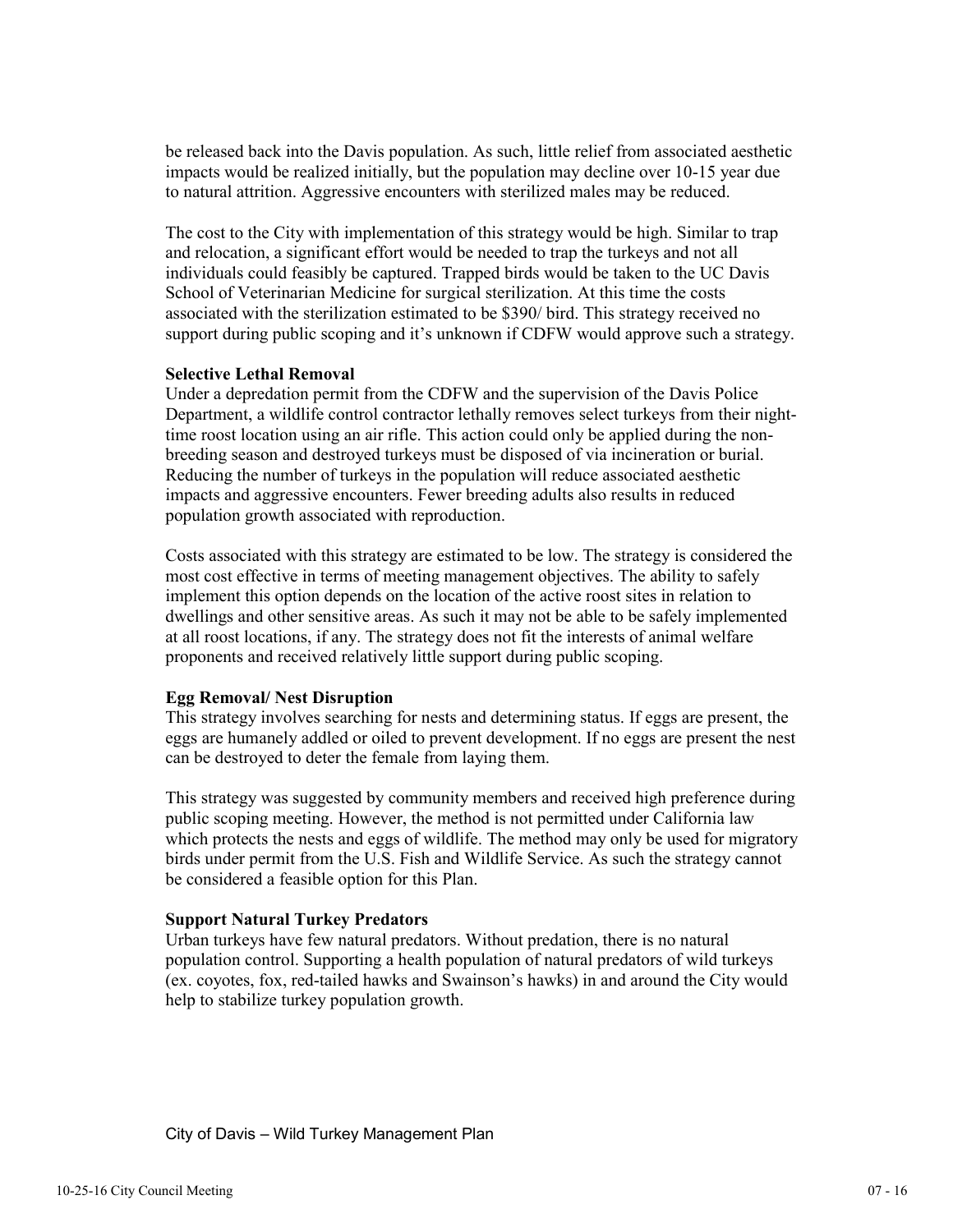be released back into the Davis population. As such, little relief from associated aesthetic impacts would be realized initially, but the population may decline over 10-15 year due to natural attrition. Aggressive encounters with sterilized males may be reduced.

The cost to the City with implementation of this strategy would be high. Similar to trap and relocation, a significant effort would be needed to trap the turkeys and not all individuals could feasibly be captured. Trapped birds would be taken to the UC Davis School of Veterinarian Medicine for surgical sterilization. At this time the costs associated with the sterilization estimated to be \$390/ bird. This strategy received no support during public scoping and it's unknown if CDFW would approve such a strategy.

# **Selective Lethal Removal**

Under a depredation permit from the CDFW and the supervision of the Davis Police Department, a wildlife control contractor lethally removes select turkeys from their nighttime roost location using an air rifle. This action could only be applied during the nonbreeding season and destroyed turkeys must be disposed of via incineration or burial. Reducing the number of turkeys in the population will reduce associated aesthetic impacts and aggressive encounters. Fewer breeding adults also results in reduced population growth associated with reproduction.

Costs associated with this strategy are estimated to be low. The strategy is considered the most cost effective in terms of meeting management objectives. The ability to safely implement this option depends on the location of the active roost sites in relation to dwellings and other sensitive areas. As such it may not be able to be safely implemented at all roost locations, if any. The strategy does not fit the interests of animal welfare proponents and received relatively little support during public scoping.

# **Egg Removal/ Nest Disruption**

This strategy involves searching for nests and determining status. If eggs are present, the eggs are humanely addled or oiled to prevent development. If no eggs are present the nest can be destroyed to deter the female from laying them.

This strategy was suggested by community members and received high preference during public scoping meeting. However, the method is not permitted under California law which protects the nests and eggs of wildlife. The method may only be used for migratory birds under permit from the U.S. Fish and Wildlife Service. As such the strategy cannot be considered a feasible option for this Plan.

# **Support Natural Turkey Predators**

Urban turkeys have few natural predators. Without predation, there is no natural population control. Supporting a health population of natural predators of wild turkeys (ex. coyotes, fox, red-tailed hawks and Swainson's hawks) in and around the City would help to stabilize turkey population growth.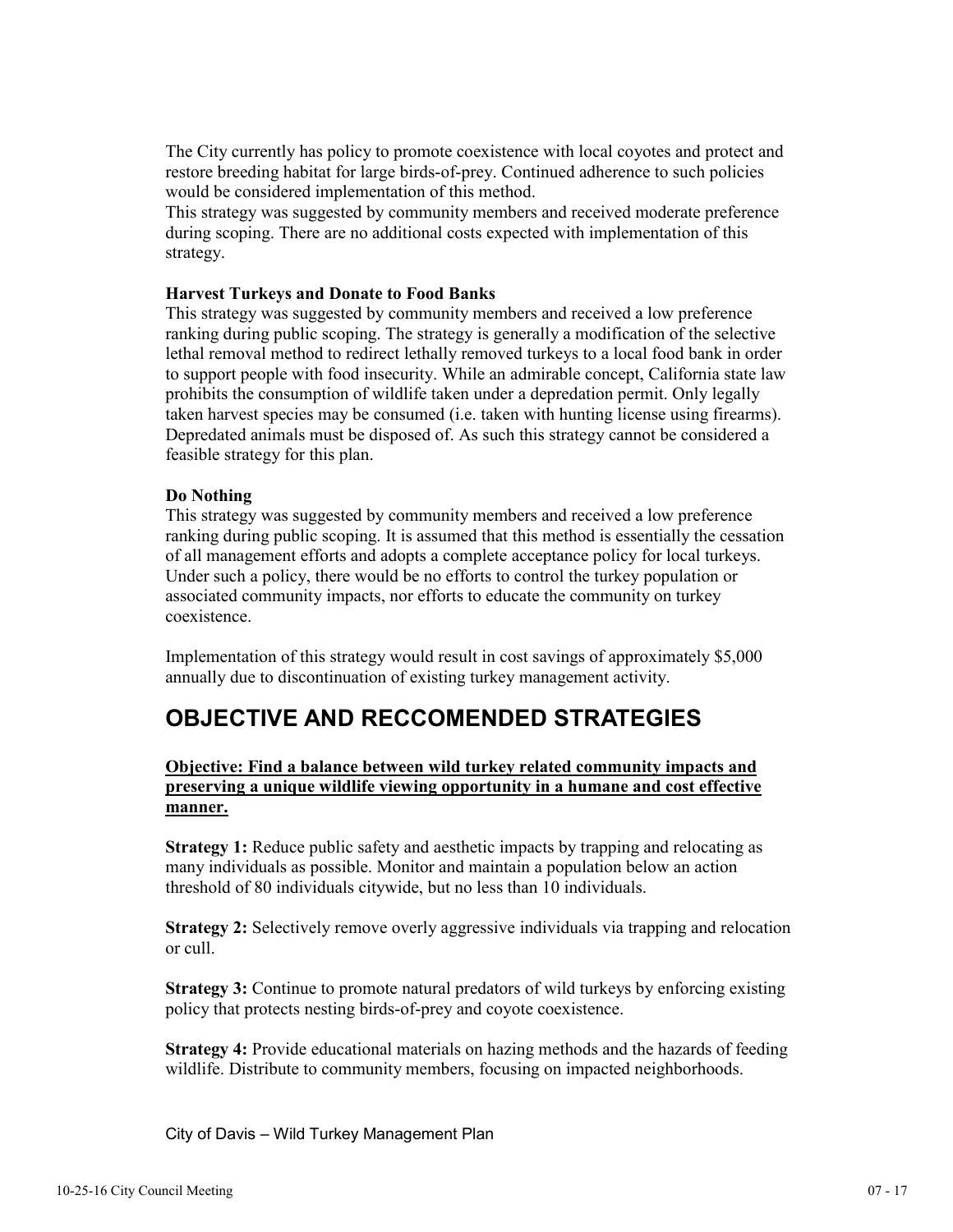The City currently has policy to promote coexistence with local coyotes and protect and restore breeding habitat for large birds-of-prey. Continued adherence to such policies would be considered implementation of this method.

This strategy was suggested by community members and received moderate preference during scoping. There are no additional costs expected with implementation of this strategy.

# **Harvest Turkeys and Donate to Food Banks**

This strategy was suggested by community members and received a low preference ranking during public scoping. The strategy is generally a modification of the selective lethal removal method to redirect lethally removed turkeys to a local food bank in order to support people with food insecurity. While an admirable concept, California state law prohibits the consumption of wildlife taken under a depredation permit. Only legally taken harvest species may be consumed (i.e. taken with hunting license using firearms). Depredated animals must be disposed of. As such this strategy cannot be considered a feasible strategy for this plan.

# **Do Nothing**

This strategy was suggested by community members and received a low preference ranking during public scoping. It is assumed that this method is essentially the cessation of all management efforts and adopts a complete acceptance policy for local turkeys. Under such a policy, there would be no efforts to control the turkey population or associated community impacts, nor efforts to educate the community on turkey coexistence.

Implementation of this strategy would result in cost savings of approximately \$5,000 annually due to discontinuation of existing turkey management activity.

# **OBJECTIVE AND RECCOMENDED STRATEGIES**

# **Objective: Find a balance between wild turkey related community impacts and preserving a unique wildlife viewing opportunity in a humane and cost effective manner.**

**Strategy 1:** Reduce public safety and aesthetic impacts by trapping and relocating as many individuals as possible. Monitor and maintain a population below an action threshold of 80 individuals citywide, but no less than 10 individuals.

**Strategy 2:** Selectively remove overly aggressive individuals via trapping and relocation or cull.

**Strategy 3:** Continue to promote natural predators of wild turkeys by enforcing existing policy that protects nesting birds-of-prey and coyote coexistence.

**Strategy 4:** Provide educational materials on hazing methods and the hazards of feeding wildlife. Distribute to community members, focusing on impacted neighborhoods.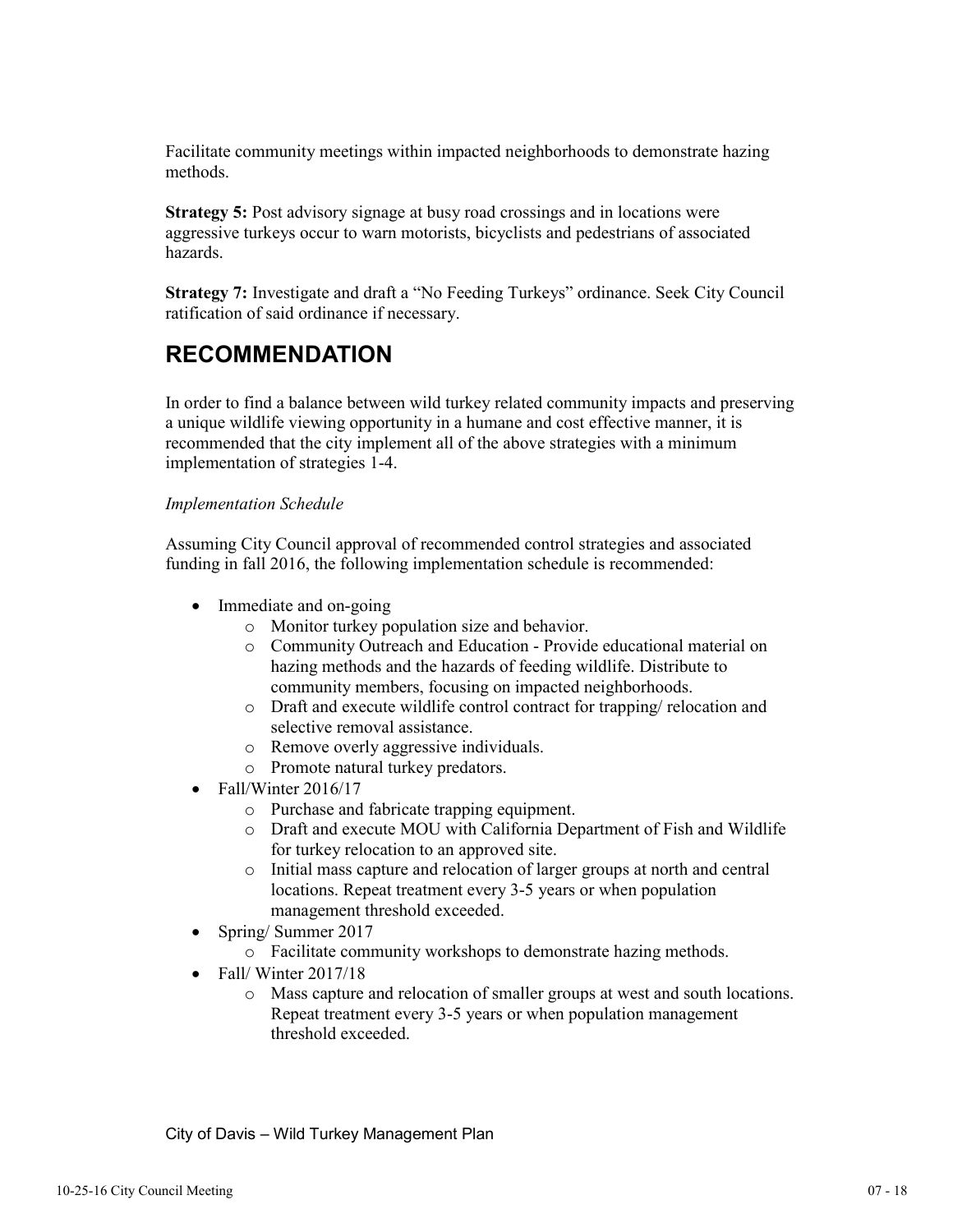Facilitate community meetings within impacted neighborhoods to demonstrate hazing methods.

**Strategy 5:** Post advisory signage at busy road crossings and in locations were aggressive turkeys occur to warn motorists, bicyclists and pedestrians of associated hazards.

**Strategy 7:** Investigate and draft a "No Feeding Turkeys" ordinance. Seek City Council ratification of said ordinance if necessary.

# **RECOMMENDATION**

In order to find a balance between wild turkey related community impacts and preserving a unique wildlife viewing opportunity in a humane and cost effective manner, it is recommended that the city implement all of the above strategies with a minimum implementation of strategies 1-4.

# *Implementation Schedule*

Assuming City Council approval of recommended control strategies and associated funding in fall 2016, the following implementation schedule is recommended:

- Immediate and on-going
	- o Monitor turkey population size and behavior.
	- o Community Outreach and Education Provide educational material on hazing methods and the hazards of feeding wildlife. Distribute to community members, focusing on impacted neighborhoods.
	- o Draft and execute wildlife control contract for trapping/ relocation and selective removal assistance.
	- o Remove overly aggressive individuals.
	- o Promote natural turkey predators.
- Fall/Winter  $2016/17$ 
	- o Purchase and fabricate trapping equipment.
	- o Draft and execute MOU with California Department of Fish and Wildlife for turkey relocation to an approved site.
	- o Initial mass capture and relocation of larger groups at north and central locations. Repeat treatment every 3-5 years or when population management threshold exceeded.
- Spring/ Summer 2017
	- o Facilitate community workshops to demonstrate hazing methods.
- Fall/Winter 2017/18
	- o Mass capture and relocation of smaller groups at west and south locations. Repeat treatment every 3-5 years or when population management threshold exceeded.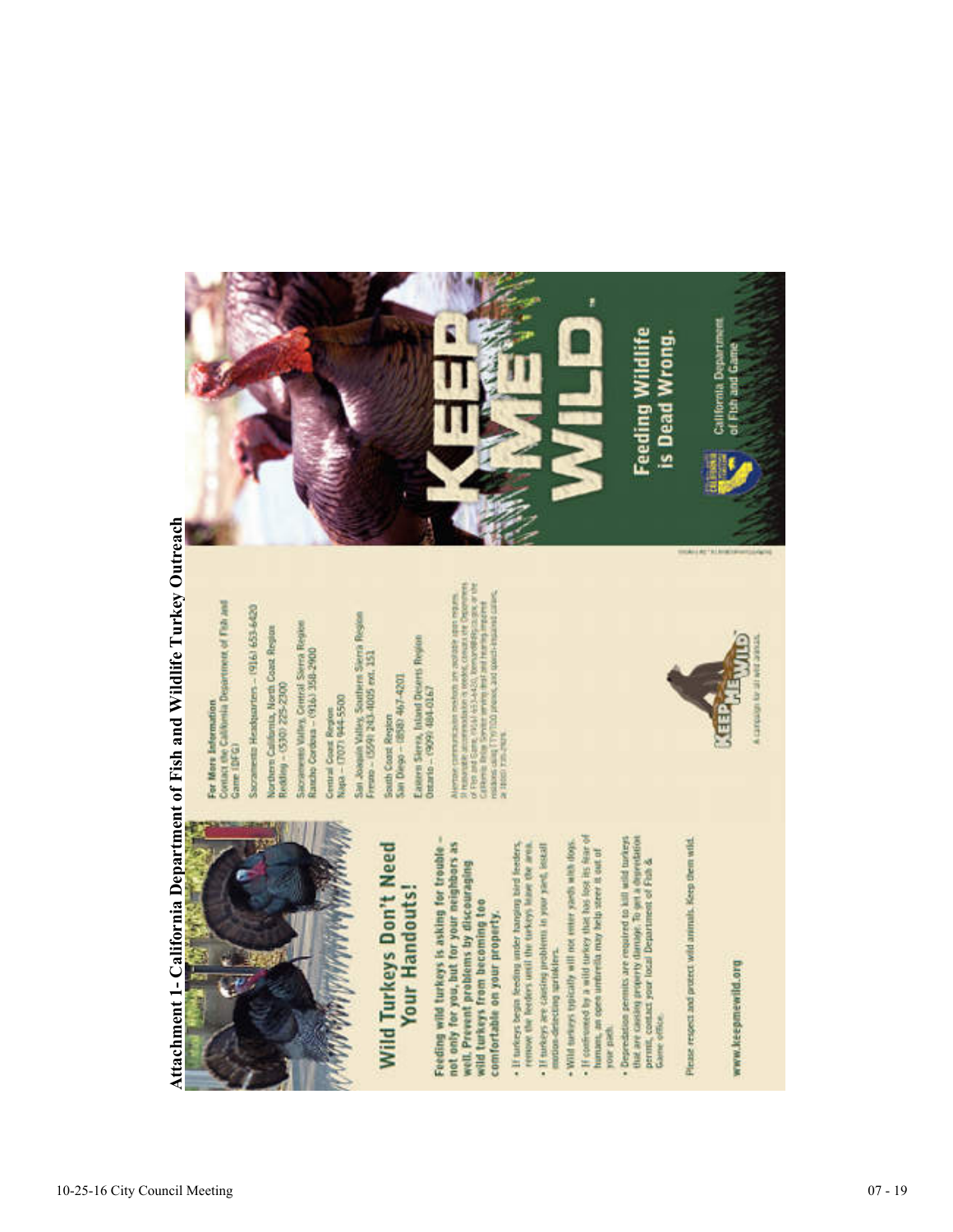



# Wild Turkeys Don't Need **Your Handouts!**

not only for you, but for your neighbors as Feeding wild turkeys is asking for trouble well. Prevent problems by discouraging wild turkeys from becoming too comfortable on your property.

- · If turkeys begin feeding under hanging bird feeders, remove the herders until the tarkeys leave the area.
- Wild turkeys typically will not enter yards with dops. · If turkeys are causing problems in your yard, lookall motion detecting uprinklers.
- . If confirmes<br>of by a wild turkey that loss look is a fear of humans, an open unimersity may help street it out of your past
- Deprediation primits are required to kill with uniterial that the state of the state of the state of the state of the state of Castilla.

Piease respect and protect wild animals. Keep them wild

# www.keepmewild.org

For More Information<br>Contact the California Desertment of Fish and Game (DFG)

Sacramenta Headquarters - (916) 653-6420

Northern California, North Coast Region Redding - (530) 225-2300 Sacramento Valley, Central Serra Region<br>Rancho Cordona - (916) 358-2900

Central Coast Region<br>Napa - (707) 944-5500

San Joaquin Valley, Southern Sierra Region<br>Fremo - (559) 243-4005 ext. 151

San Diego - (858): 467-4201 **Gorth Coord Region** 

Eastern Stera, Inland Deserts Region<br>Ottario - (909) 484-0167

Alarmac commutations conducts are consider any contract. A considered and considered and considered and considered and considered and considered any considered and considered any considered and considered and considered a



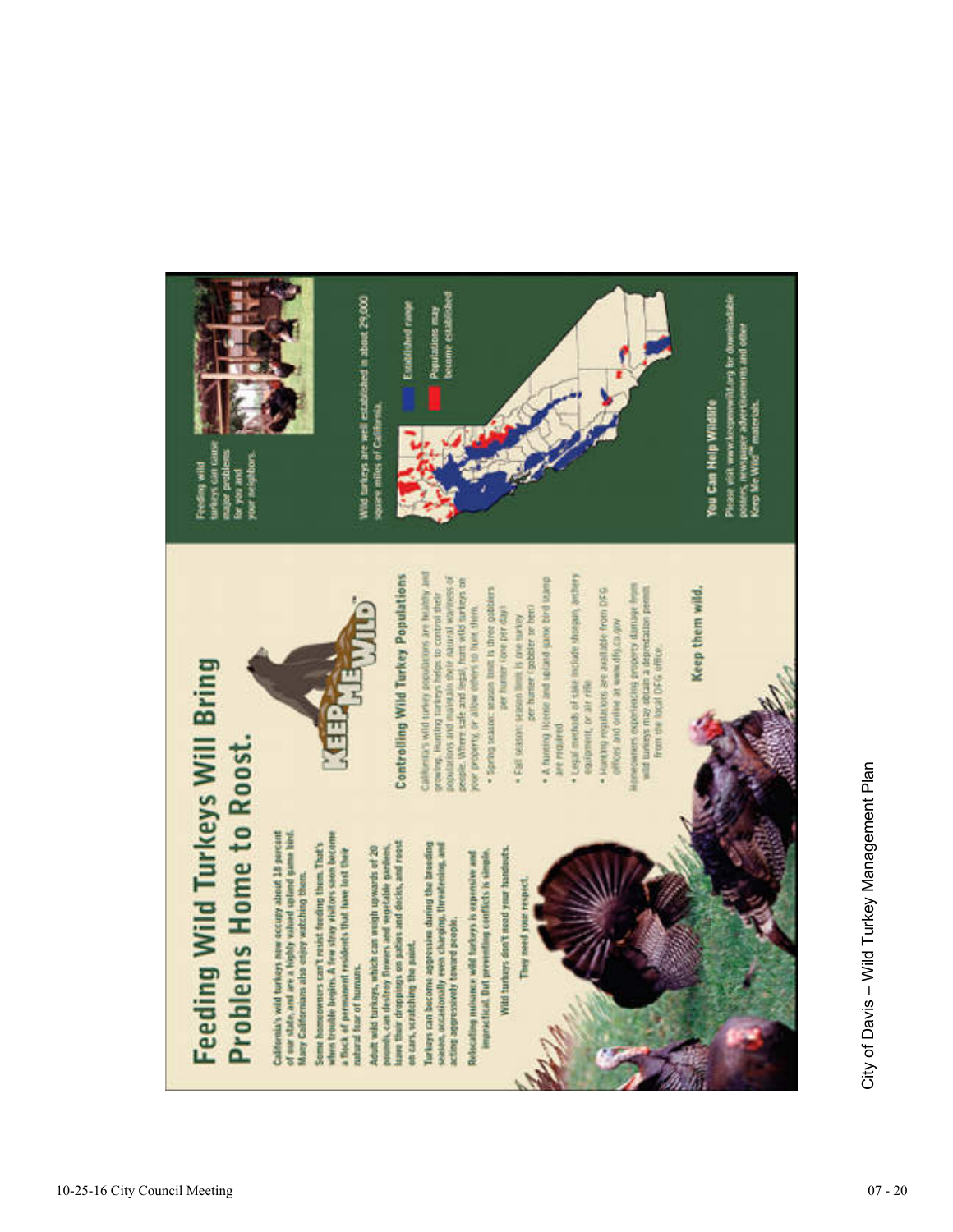

# **Feeding Wild Turkeys Will Bring** Problems Home to Roost.

California's wild turkeys now occupy about 18 percent of our state, and are a highly valued spland game land Many Californians also enjoy watching them.

when bookle begins. A few stray visitors saon become Some homeowners can't resist feeding them. That's a flock of permanent residents that have lost their natural fear of humans.

Adult wild turkeys, which can weath upwards of 20<br>pounds, can tlestrey flowers and workfalle gardens,<br>lawn that droppings on gathes and docks, and roots on cars, scratching the paint

Turkeys can become appression during the breeding season, occasionally even charging, threatening, and acting appressively toward propin.

Relacating nutsance wild turkeys is expensive and

impractical. But preventing conflicts is simple.

Wild turkeys don't need your handouts.



people. Where safe and legal, hant wild turkeys on · Spring season: season limit is three gobbiers roor property, or allow others to built them. per hunter (one per day) . Fall season: leason limit is one survey

per hanter (gobbler or bent)

· A francing license and sociated game bird leansp are rrantred

Legal methods of sale include shoopin, anther equipment, or air rifle

Harting regulations are available from DFG offices and online at www.dfg.ca.gov

elencoursers experiencing grouperty damage from<br>suitables may obtain a depredation permit.<br>From the local DFG office

Keep them wild.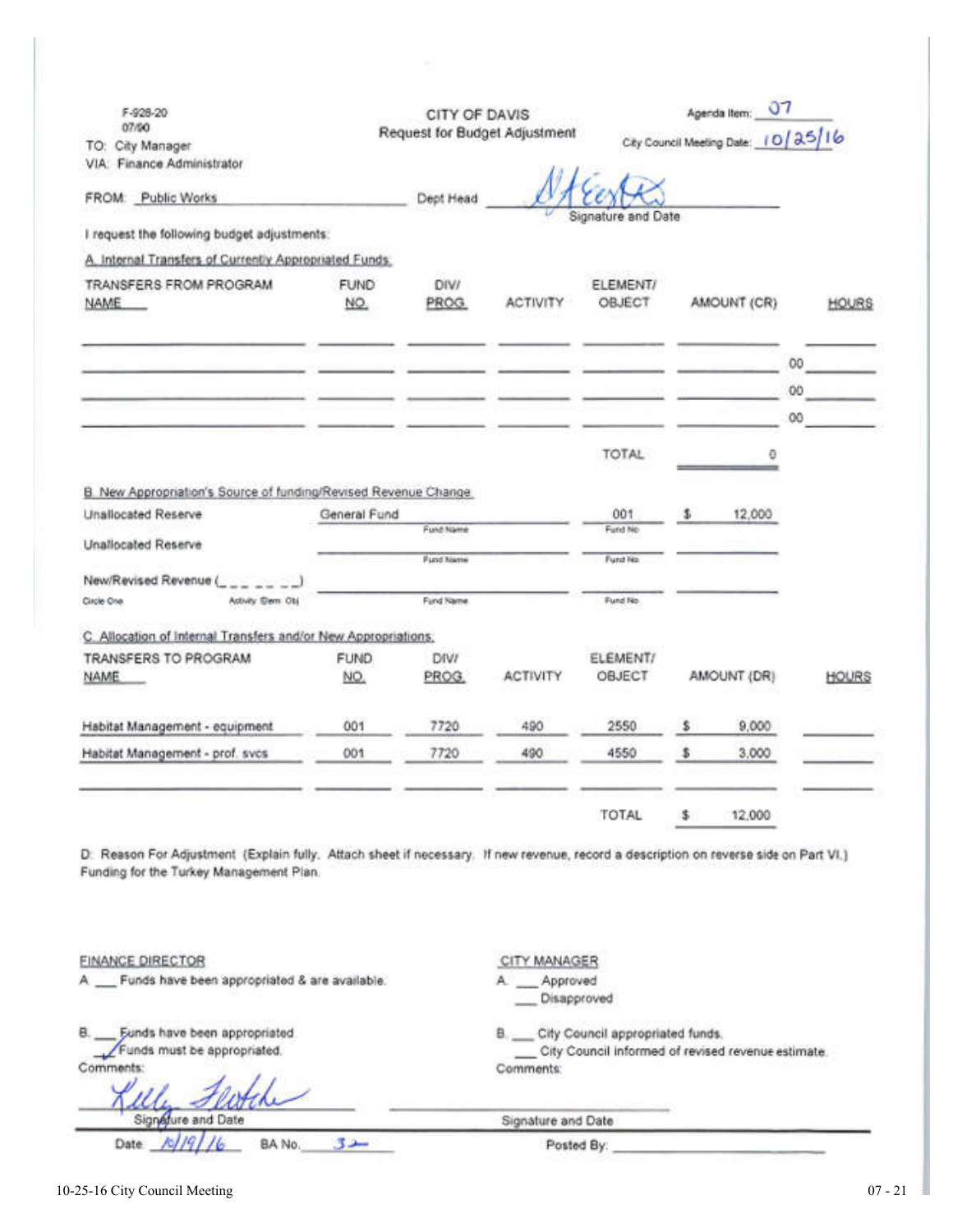| F-928-20<br>07/00                                                                                                                                                                |                    | CITY OF DAVIS<br>Request for Budget Adjustment |                                                     |                                                    | 07<br>Agenda Item:                  |                |              |
|----------------------------------------------------------------------------------------------------------------------------------------------------------------------------------|--------------------|------------------------------------------------|-----------------------------------------------------|----------------------------------------------------|-------------------------------------|----------------|--------------|
| TO: City Manager                                                                                                                                                                 |                    |                                                |                                                     |                                                    | City Council Meeting Date: 10/25/16 |                |              |
| VIA: Finance Administrator                                                                                                                                                       |                    |                                                |                                                     |                                                    |                                     |                |              |
| FROM: Public Works                                                                                                                                                               |                    | Dept Head                                      |                                                     |                                                    |                                     |                |              |
| I request the following budget adjustments:                                                                                                                                      |                    |                                                |                                                     | Signature and Date                                 |                                     |                |              |
| A. Internal Transfers of Currently Appropriated Funds:                                                                                                                           |                    |                                                |                                                     |                                                    |                                     |                |              |
|                                                                                                                                                                                  |                    |                                                |                                                     |                                                    |                                     |                |              |
| TRANSFERS FROM PROGRAM<br>NAME                                                                                                                                                   | <b>FUND</b><br>NO. | DIV/<br>PROG.                                  | <b>ACTIVITY</b>                                     | ELEMENT/<br>OBJECT                                 | AMOUNT (CR)                         |                | <b>HOURS</b> |
|                                                                                                                                                                                  |                    |                                                |                                                     |                                                    |                                     | O <sub>O</sub> |              |
|                                                                                                                                                                                  |                    |                                                |                                                     |                                                    |                                     | 00             |              |
|                                                                                                                                                                                  |                    |                                                |                                                     |                                                    |                                     | 00             |              |
|                                                                                                                                                                                  |                    |                                                |                                                     | TOTAL                                              | ٥                                   |                |              |
| B. New Appropriation's Source of funding/Revised Revenue Change.                                                                                                                 |                    |                                                |                                                     |                                                    |                                     |                |              |
| Unallocated Reserve                                                                                                                                                              | General Fund       |                                                |                                                     | 001                                                | \$<br>12,000                        |                |              |
| Unallocated Reserve                                                                                                                                                              |                    | Fund Name                                      |                                                     | Fund No                                            |                                     |                |              |
|                                                                                                                                                                                  |                    | <b>Pund Name</b>                               |                                                     | Fund No                                            |                                     |                |              |
| New/Revised Revenue (<br>Activity Dem Obj<br>Circle One                                                                                                                          |                    | Fund Name                                      |                                                     | Fund No.                                           |                                     |                |              |
|                                                                                                                                                                                  |                    |                                                |                                                     |                                                    |                                     |                |              |
| C. Allocation of Internal Transfers and/or New Appropriations:                                                                                                                   |                    |                                                |                                                     |                                                    |                                     |                |              |
| TRANSFERS TO PROGRAM<br>NAME.                                                                                                                                                    | <b>FUND</b>        | DIVI                                           | <b>ACTIVITY</b>                                     | ELEMENT/<br>OBJECT                                 | AMOUNT (DR)                         |                |              |
|                                                                                                                                                                                  | NO.                | PROG.                                          |                                                     |                                                    |                                     |                | HOURS        |
| Habitat Management - equipment                                                                                                                                                   | 001                | 7720                                           | 490                                                 | 2550                                               | \$<br>9,000                         |                |              |
| Habitat Management - prof. svcs                                                                                                                                                  | 001                | 7720                                           | 490                                                 | 4550                                               | \$<br>3,000                         |                |              |
|                                                                                                                                                                                  |                    |                                                |                                                     | <b>TOTAL</b>                                       | 12,000                              |                |              |
| D: Reason For Adjustment (Explain fully. Attach sheet if necessary. If new revenue, record a description on reverse side on Part VI.)<br>Funding for the Turkey Management Plan. |                    |                                                |                                                     |                                                    |                                     |                |              |
| <b>FINANCE DIRECTOR</b><br>A __ Funds have been appropriated & are available.                                                                                                    |                    |                                                | CITY MANAGER<br>A. __ Approved<br>Disapproved       |                                                    |                                     |                |              |
| Funds have been appropriated<br>Funds must be appropriated.<br>Comments:                                                                                                         |                    |                                                | B. __ City Council appropriated funds.<br>Comments: | City Council informed of revised revenue estimate. |                                     |                |              |
| Signature and Date                                                                                                                                                               |                    |                                                | Signature and Date                                  |                                                    |                                     |                |              |
| BA No.<br>Date:                                                                                                                                                                  | سدی                |                                                | Posted By:                                          |                                                    |                                     |                |              |

л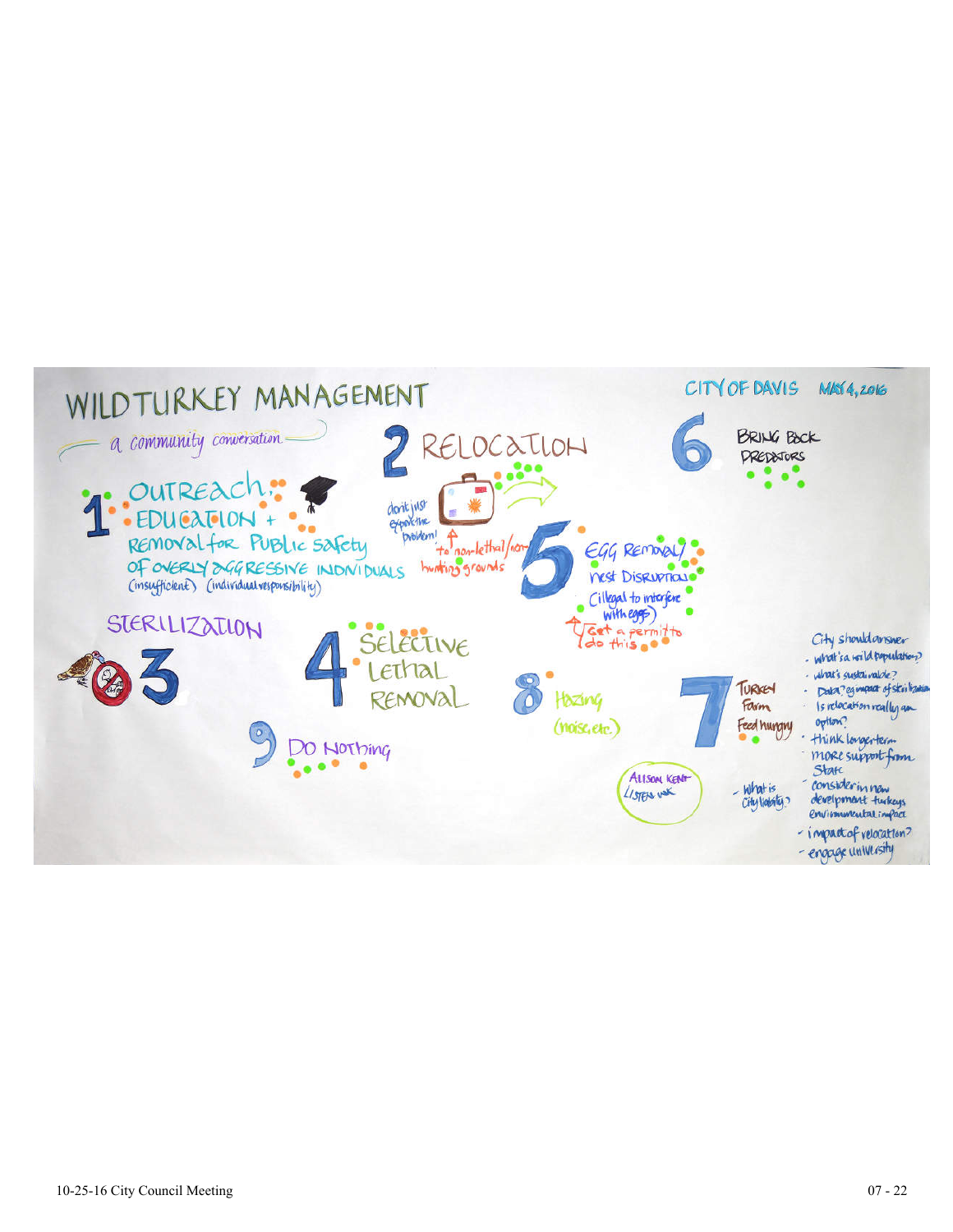